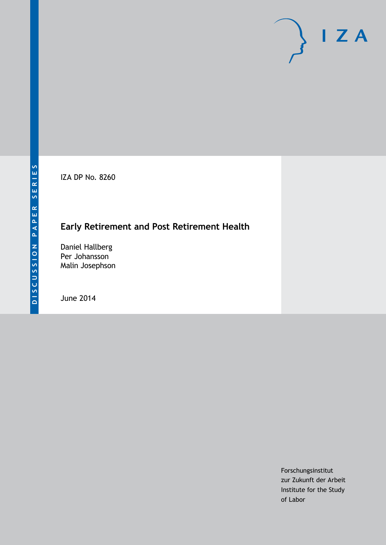IZA DP No. 8260

# **Early Retirement and Post Retirement Health**

Daniel Hallberg Per Johansson Malin Josephson

June 2014

Forschungsinstitut zur Zukunft der Arbeit Institute for the Study of Labor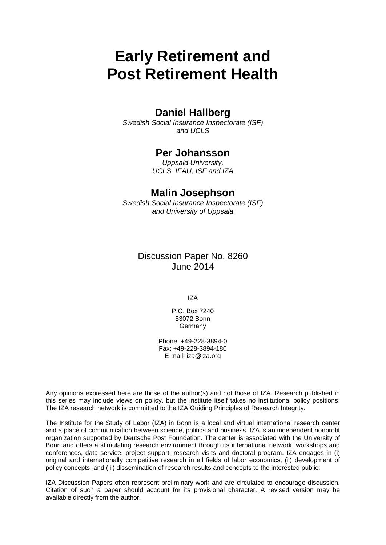# **Early Retirement and Post Retirement Health**

# **Daniel Hallberg**

*Swedish Social Insurance Inspectorate (ISF) and UCLS*

# **Per Johansson**

*Uppsala University, UCLS, IFAU, ISF and IZA*

# **Malin Josephson**

*Swedish Social Insurance Inspectorate (ISF) and University of Uppsala*

> Discussion Paper No. 8260 June 2014

> > IZA

P.O. Box 7240 53072 Bonn Germany

Phone: +49-228-3894-0 Fax: +49-228-3894-180 E-mail: [iza@iza.org](mailto:iza@iza.org)

Any opinions expressed here are those of the author(s) and not those of IZA. Research published in this series may include views on policy, but the institute itself takes no institutional policy positions. The IZA research network is committed to the IZA Guiding Principles of Research Integrity.

The Institute for the Study of Labor (IZA) in Bonn is a local and virtual international research center and a place of communication between science, politics and business. IZA is an independent nonprofit organization supported by Deutsche Post Foundation. The center is associated with the University of Bonn and offers a stimulating research environment through its international network, workshops and conferences, data service, project support, research visits and doctoral program. IZA engages in (i) original and internationally competitive research in all fields of labor economics, (ii) development of policy concepts, and (iii) dissemination of research results and concepts to the interested public.

<span id="page-1-0"></span>IZA Discussion Papers often represent preliminary work and are circulated to encourage discussion. Citation of such a paper should account for its provisional character. A revised version may be available directly from the author.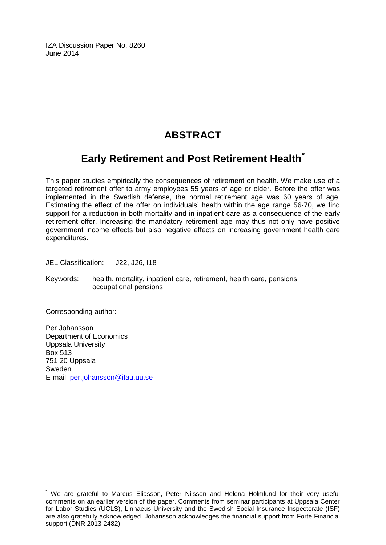IZA Discussion Paper No. 8260 June 2014

# **ABSTRACT**

# **Early Retirement and Post Retirement Health[\\*](#page-1-0)**

This paper studies empirically the consequences of retirement on health. We make use of a targeted retirement offer to army employees 55 years of age or older. Before the offer was implemented in the Swedish defense, the normal retirement age was 60 years of age. Estimating the effect of the offer on individuals' health within the age range 56-70, we find support for a reduction in both mortality and in inpatient care as a consequence of the early retirement offer. Increasing the mandatory retirement age may thus not only have positive government income effects but also negative effects on increasing government health care expenditures.

JEL Classification: J22, J26, I18

Keywords: health, mortality, inpatient care, retirement, health care, pensions, occupational pensions

Corresponding author:

Per Johansson Department of Economics Uppsala University Box 513 751 20 Uppsala Sweden E-mail: [per.johansson@ifau.uu.se](mailto:per.johansson@ifau.uu.se)

We are grateful to Marcus Eliasson, Peter Nilsson and Helena Holmlund for their very useful comments on an earlier version of the paper. Comments from seminar participants at Uppsala Center for Labor Studies (UCLS), Linnaeus University and the Swedish Social Insurance Inspectorate (ISF) are also gratefully acknowledged. Johansson acknowledges the financial support from Forte Financial support (DNR 2013-2482)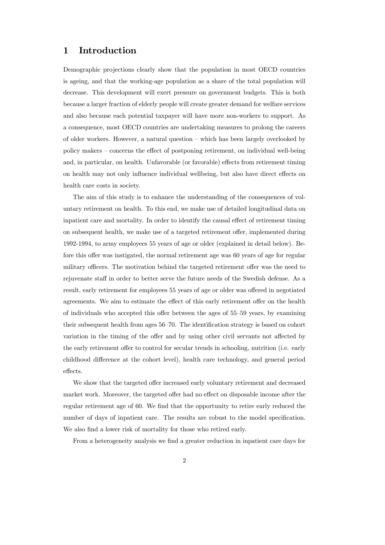### 1 Introduction

Demographic projections clearly show that the population in most OECD countries is ageing, and that the working-age population as a share of the total population will decrease. This development will exert pressure on government budgets. This is both because a larger fraction of elderly people will create greater demand for welfare services and also because each potential taxpayer will have more non-workers to support. As a consequence, most OECD countries are undertaking measures to prolong the careers of older workers. However, a natural question — which has been largely overlooked by policy makers — concerns the effect of postponing retirement, on individual well-being and, in particular, on health. Unfavorable (or favorable) effects from retirement timing on health may not only influence individual wellbeing, but also have direct effects on health care costs in society.

The aim of this study is to enhance the understanding of the consequences of voluntary retirement on health. To this end, we make use of detailed longitudinal data on inpatient care and mortality. In order to identify the causal effect of retirement timing on subsequent health, we make use of a targeted retirement offer, implemented during 1992-1994, to army employees 55 years of age or older (explained in detail below). Before this offer was instigated, the normal retirement age was 60 years of age for regular military officers. The motivation behind the targeted retirement offer was the need to rejuvenate staff in order to better serve the future needs of the Swedish defense. As a result, early retirement for employees 55 years of age or older was offered in negotiated agreements. We aim to estimate the effect of this early retirement offer on the health of individuals who accepted this offer between the ages of 55—59 years, by examining their subsequent health from ages 56—70. The identification strategy is based on cohort variation in the timing of the offer and by using other civil servants not affected by the early retirement offer to control for secular trends in schooling, nutrition (i.e. early childhood difference at the cohort level), health care technology, and general period effects.

We show that the targeted offer increased early voluntary retirement and decreased market work. Moreover, the targeted offer had no effect on disposable income after the regular retirement age of 60. We find that the opportunity to retire early reduced the number of days of inpatient care. The results are robust to the model specification. We also find a lower risk of mortality for those who retired early.

From a heterogeneity analysis we find a greater reduction in inpatient care days for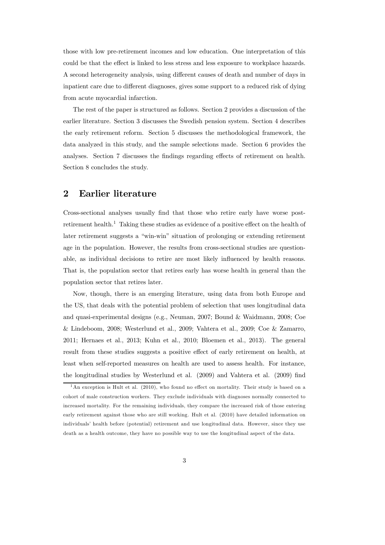those with low pre-retirement incomes and low education. One interpretation of this could be that the effect is linked to less stress and less exposure to workplace hazards. A second heterogeneity analysis, using different causes of death and number of days in inpatient care due to different diagnoses, gives some support to a reduced risk of dying from acute myocardial infarction.

The rest of the paper is structured as follows. Section 2 provides a discussion of the earlier literature. Section 3 discusses the Swedish pension system. Section 4 describes the early retirement reform. Section 5 discusses the methodological framework, the data analyzed in this study, and the sample selections made. Section 6 provides the analyses. Section 7 discusses the findings regarding effects of retirement on health. Section 8 concludes the study.

### 2 Earlier literature

Cross-sectional analyses usually find that those who retire early have worse postretirement health.<sup>1</sup> Taking these studies as evidence of a positive effect on the health of later retirement suggests a "win-win" situation of prolonging or extending retirement age in the population. However, the results from cross-sectional studies are questionable, as individual decisions to retire are most likely influenced by health reasons. That is, the population sector that retires early has worse health in general than the population sector that retires later.

Now, though, there is an emerging literature, using data from both Europe and the US, that deals with the potential problem of selection that uses longitudinal data and quasi-experimental designs (e.g., Neuman, 2007; Bound & Waidmann, 2008; Coe & Lindeboom, 2008; Westerlund et al., 2009; Vahtera et al., 2009; Coe & Zamarro, 2011; Hernaes et al., 2013; Kuhn et al., 2010; Bloemen et al., 2013). The general result from these studies suggests a positive effect of early retirement on health, at least when self-reported measures on health are used to assess health. For instance, the longitudinal studies by Westerlund et al. (2009) and Vahtera et al. (2009) find

<sup>&</sup>lt;sup>1</sup>An exception is Hult et al. (2010), who found no effect on mortality. Their study is based on a cohort of male construction workers. They exclude individuals with diagnoses normally connected to increased mortality. For the remaining individuals, they compare the increased risk of those entering early retirement against those who are still working. Hult et al. (2010) have detailed information on individuals' health before (potential) retirement and use longitudinal data. However, since they use death as a health outcome, they have no possible way to use the longitudinal aspect of the data.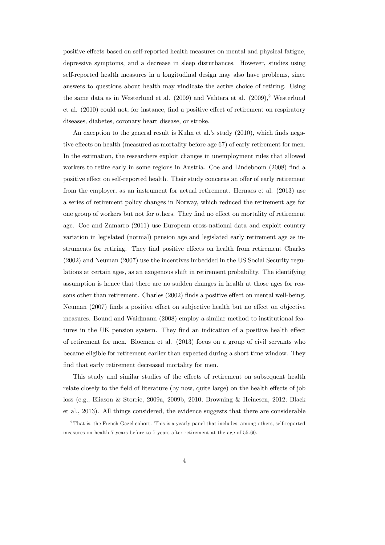positive effects based on self-reported health measures on mental and physical fatigue, depressive symptoms, and a decrease in sleep disturbances. However, studies using self-reported health measures in a longitudinal design may also have problems, since answers to questions about health may vindicate the active choice of retiring. Using the same data as in Westerlund et al. (2009) and Vahtera et al. (2009),<sup>2</sup> Westerlund et al. (2010) could not, for instance, find a positive effect of retirement on respiratory diseases, diabetes, coronary heart disease, or stroke.

An exception to the general result is Kuhn et al.'s study (2010), which finds negative effects on health (measured as mortality before age 67) of early retirement for men. In the estimation, the researchers exploit changes in unemployment rules that allowed workers to retire early in some regions in Austria. Coe and Lindeboom (2008) find a positive effect on self-reported health. Their study concerns an offer of early retirement from the employer, as an instrument for actual retirement. Hernaes et al. (2013) use a series of retirement policy changes in Norway, which reduced the retirement age for one group of workers but not for others. They find no effect on mortality of retirement age. Coe and Zamarro (2011) use European cross-national data and exploit country variation in legislated (normal) pension age and legislated early retirement age as instruments for retiring. They find positive effects on health from retirement Charles (2002) and Neuman (2007) use the incentives imbedded in the US Social Security regulations at certain ages, as an exogenous shift in retirement probability. The identifying assumption is hence that there are no sudden changes in health at those ages for reasons other than retirement. Charles (2002) finds a positive effect on mental well-being. Neuman (2007) finds a positive effect on subjective health but no effect on objective measures. Bound and Waidmann (2008) employ a similar method to institutional features in the UK pension system. They find an indication of a positive health effect of retirement for men. Bloemen et al. (2013) focus on a group of civil servants who became eligible for retirement earlier than expected during a short time window. They find that early retirement decreased mortality for men.

This study and similar studies of the effects of retirement on subsequent health relate closely to the field of literature (by now, quite large) on the health effects of job loss (e.g., Eliason & Storrie, 2009a, 2009b, 2010; Browning & Heinesen, 2012; Black et al., 2013). All things considered, the evidence suggests that there are considerable

<sup>2</sup>That is, the French Gazel cohort. This is a yearly panel that includes, among others, self-reported measures on health 7 years before to 7 years after retirement at the age of 55-60.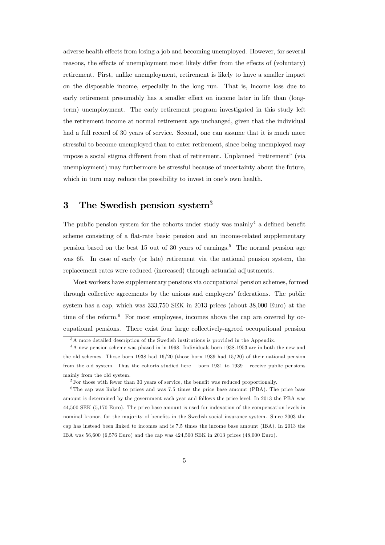adverse health effects from losing a job and becoming unemployed. However, for several reasons, the effects of unemployment most likely differ from the effects of (voluntary) retirement. First, unlike unemployment, retirement is likely to have a smaller impact on the disposable income, especially in the long run. That is, income loss due to early retirement presumably has a smaller effect on income later in life than (longterm) unemployment. The early retirement program investigated in this study left the retirement income at normal retirement age unchanged, given that the individual had a full record of 30 years of service. Second, one can assume that it is much more stressful to become unemployed than to enter retirement, since being unemployed may impose a social stigma different from that of retirement. Unplanned "retirement" (via unemployment) may furthermore be stressful because of uncertainty about the future, which in turn may reduce the possibility to invest in one's own health.

# 3 The Swedish pension system<sup>3</sup>

The public pension system for the cohorts under study was mainly<sup>4</sup> a defined benefit scheme consisting of a flat-rate basic pension and an income-related supplementary pension based on the best 15 out of 30 years of earnings.<sup>5</sup> The normal pension age was 65. In case of early (or late) retirement via the national pension system, the replacement rates were reduced (increased) through actuarial adjustments.

Most workers have supplementary pensions via occupational pension schemes, formed through collective agreements by the unions and employers' federations. The public system has a cap, which was 333,750 SEK in 2013 prices (about 38,000 Euro) at the time of the reform. $6$  For most employees, incomes above the cap are covered by occupational pensions. There exist four large collectively-agreed occupational pension

<sup>&</sup>lt;sup>3</sup>A more detailed description of the Swedish institutions is provided in the Appendix.

<sup>4</sup>A new pension scheme was phased in in 1998. Individuals born 1938-1953 are in both the new and the old schemes. Those born 1938 had 16/20 (those born 1939 had 15/20) of their national pension from the old system. Thus the cohorts studied here — born 1931 to 1939 — receive public pensions mainly from the old system.

<sup>&</sup>lt;sup>5</sup>For those with fewer than 30 years of service, the benefit was reduced proportionally.

<sup>6</sup>The cap was linked to prices and was 7.5 times the price base amount (PBA). The price base amount is determined by the government each year and follows the price level. In 2013 the PBA was 44,500 SEK (5,170 Euro). The price base amount is used for indexation of the compensation levels in nominal kronor, for the ma jority of benefits in the Swedish social insurance system. Since 2003 the cap has instead been linked to incomes and is 7.5 times the income base amount (IBA). In 2013 the IBA was 56,600 (6,576 Euro) and the cap was 424,500 SEK in 2013 prices (48,000 Euro).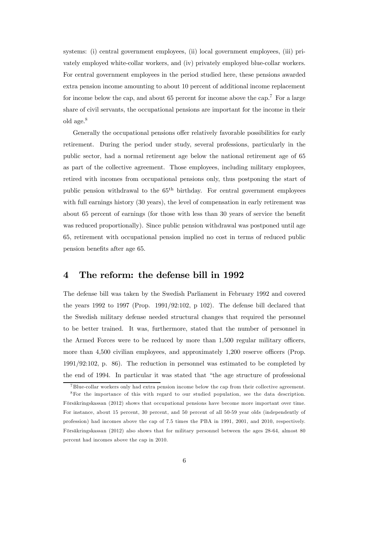systems: (i) central government employees, (ii) local government employees, (iii) privately employed white-collar workers, and (iv) privately employed blue-collar workers. For central government employees in the period studied here, these pensions awarded extra pension income amounting to about 10 percent of additional income replacement for income below the cap, and about 65 percent for income above the cap.<sup>7</sup> For a large share of civil servants, the occupational pensions are important for the income in their old age.8

Generally the occupational pensions offer relatively favorable possibilities for early retirement. During the period under study, several professions, particularly in the public sector, had a normal retirement age below the national retirement age of 65 as part of the collective agreement. Those employees, including military employees, retired with incomes from occupational pensions only, thus postponing the start of public pension withdrawal to the  $65<sup>th</sup>$  birthday. For central government employees with full earnings history (30 years), the level of compensation in early retirement was about 65 percent of earnings (for those with less than 30 years of service the benefit was reduced proportionally). Since public pension withdrawal was postponed until age 65, retirement with occupational pension implied no cost in terms of reduced public pension benefits after age 65.

### 4 The reform: the defense bill in 1992

The defense bill was taken by the Swedish Parliament in February 1992 and covered the years 1992 to 1997 (Prop. 1991/92:102, p 102). The defense bill declared that the Swedish military defense needed structural changes that required the personnel to be better trained. It was, furthermore, stated that the number of personnel in the Armed Forces were to be reduced by more than 1,500 regular military officers, more than 4,500 civilian employees, and approximately 1,200 reserve officers (Prop. 1991/92:102, p. 86). The reduction in personnel was estimated to be completed by the end of 1994. In particular it was stated that "the age structure of professional

<sup>7</sup> Blue-collar workers only had extra pension income below the cap from their collective agreement.

<sup>8</sup>For the importance of this with regard to our studied population, see the data description. Försäkringskassan (2012) shows that occupational pensions have become more important over time. For instance, about 15 percent, 30 percent, and 50 percent of all 50-59 year olds (independently of profession) had incomes above the cap of 7.5 times the PBA in 1991, 2001, and 2010, respectively. Försäkringskassan (2012) also shows that for military personnel between the ages 28-64, almost 80 percent had incomes above the cap in 2010.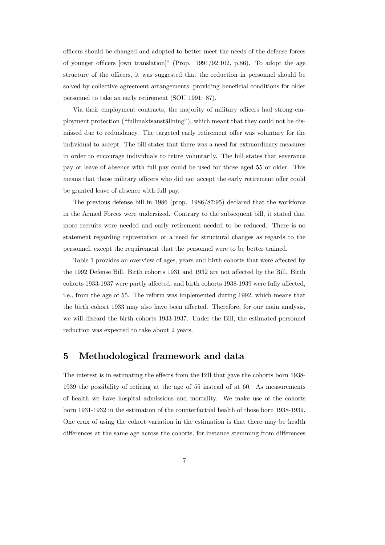officers should be changed and adopted to better meet the needs of the defense forces of younger officers [own translation]" (Prop. 1991/92:102, p.86). To adopt the age structure of the officers, it was suggested that the reduction in personnel should be solved by collective agreement arrangements, providing beneficial conditions for older personnel to take an early retirement (SOU 1991: 87).

Via their employment contracts, the majority of military officers had strong employment protection ("fullmaktsanställning"), which meant that they could not be dismissed due to redundancy. The targeted early retirement offer was voluntary for the individual to accept. The bill states that there was a need for extraordinary measures in order to encourage individuals to retire voluntarily. The bill states that severance pay or leave of absence with full pay could be used for those aged 55 or older. This means that those military officers who did not accept the early retirement offer could be granted leave of absence with full pay.

The previous defense bill in 1986 (prop. 1986/87:95) declared that the workforce in the Armed Forces were undersized. Contrary to the subsequent bill, it stated that more recruits were needed and early retirement needed to be reduced. There is no statement regarding rejuvenation or a need for structural changes as regards to the personnel, except the requirement that the personnel were to be better trained.

Table 1 provides an overview of ages, years and birth cohorts that were affected by the 1992 Defense Bill. Birth cohorts 1931 and 1932 are not affected by the Bill. Birth cohorts 1933-1937 were partly affected, and birth cohorts 1938-1939 were fully affected, i.e., from the age of 55. The reform was implemented during 1992, which means that the birth cohort 1933 may also have been affected. Therefore, for our main analysis, we will discard the birth cohorts 1933-1937. Under the Bill, the estimated personnel reduction was expected to take about 2 years.

### 5 Methodological framework and data

The interest is in estimating the effects from the Bill that gave the cohorts born 1938- 1939 the possibility of retiring at the age of 55 instead of at 60. As measurements of health we have hospital admissions and mortality. We make use of the cohorts born 1931-1932 in the estimation of the counterfactual health of those born 1938-1939. One crux of using the cohort variation in the estimation is that there may be health differences at the same age across the cohorts, for instance stemming from differences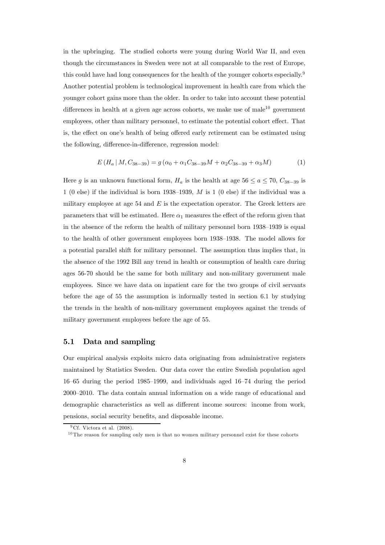in the upbringing. The studied cohorts were young during World War II, and even though the circumstances in Sweden were not at all comparable to the rest of Europe, this could have had long consequences for the health of the younger cohorts especially.<sup>9</sup> Another potential problem is technological improvement in health care from which the younger cohort gains more than the older. In order to take into account these potential differences in health at a given age across cohorts, we make use of male<sup>10</sup> government employees, other than military personnel, to estimate the potential cohort effect. That is, the effect on one's health of being offered early retirement can be estimated using the following, difference-in-difference, regression model:

$$
E(H_a \mid M, C_{38-39}) = g(\alpha_0 + \alpha_1 C_{38-39}M + \alpha_2 C_{38-39} + \alpha_3 M) \tag{1}
$$

Here g is an unknown functional form,  $H_a$  is the health at age 56  $\le a \le 70$ ,  $C_{38-39}$  is 1 (0 else) if the individual is born 1938–1939,  $M$  is 1 (0 else) if the individual was a military employee at age 54 and  $E$  is the expectation operator. The Greek letters are parameters that will be estimated. Here  $\alpha_1$  measures the effect of the reform given that in the absence of the reform the health of military personnel born 1938—1939 is equal to the health of other government employees born 1938—1938. The model allows for a potential parallel shift for military personnel. The assumption thus implies that, in the absence of the 1992 Bill any trend in health or consumption of health care during ages 56-70 should be the same for both military and non-military government male employees. Since we have data on inpatient care for the two groups of civil servants before the age of 55 the assumption is informally tested in section 6.1 by studying the trends in the health of non-military government employees against the trends of military government employees before the age of 55.

#### 5.1 Data and sampling

Our empirical analysis exploits micro data originating from administrative registers maintained by Statistics Sweden. Our data cover the entire Swedish population aged 16—65 during the period 1985—1999, and individuals aged 16—74 during the period 2000—2010. The data contain annual information on a wide range of educational and demographic characteristics as well as different income sources: income from work, pensions, social security benefits, and disposable income.

 $9Cf.$  Victora et al. (2008).

 $10$ The reason for sampling only men is that no women military personnel exist for these cohorts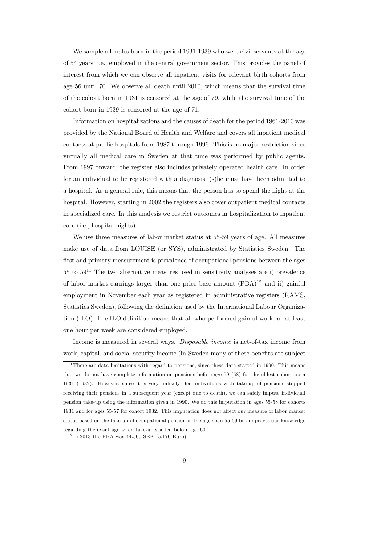We sample all males born in the period  $1931-1939$  who were civil servants at the age of 54 years, i.e., employed in the central government sector. This provides the panel of interest from which we can observe all inpatient visits for relevant birth cohorts from age 56 until 70. We observe all death until 2010, which means that the survival time of the cohort born in 1931 is censored at the age of 79, while the survival time of the cohort born in 1939 is censored at the age of 71.

Information on hospitalizations and the causes of death for the period 1961-2010 was provided by the National Board of Health and Welfare and covers all inpatient medical contacts at public hospitals from 1987 through 1996. This is no major restriction since virtually all medical care in Sweden at that time was performed by public agents. From 1997 onward, the register also includes privately operated health care. In order for an individual to be registered with a diagnosis, (s)he must have been admitted to a hospital. As a general rule, this means that the person has to spend the night at the hospital. However, starting in 2002 the registers also cover outpatient medical contacts in specialized care. In this analysis we restrict outcomes in hospitalization to inpatient care (i.e., hospital nights).

We use three measures of labor market status at 55-59 years of age. All measures make use of data from LOUISE (or SYS), administrated by Statistics Sweden. The first and primary measurement is prevalence of occupational pensions between the ages  $55$  to  $59^{11}$  The two alternative measures used in sensitivity analyses are i) prevalence of labor market earnings larger than one price base amount  $(PBA)^{12}$  and ii) gainful employment in November each year as registered in administrative registers (RAMS, Statistics Sweden), following the definition used by the International Labour Organization (ILO). The ILO definition means that all who performed gainful work for at least one hour per week are considered employed.

Income is measured in several ways. Disposable income is net-of-tax income from work, capital, and social security income (in Sweden many of these benefits are subject

 $11$  There are data limitations with regard to pensions, since these data started in 1990. This means that we do not have complete information on pensions before age 59 (58) for the oldest cohort born 1931 (1932). However, since it is very unlikely that individuals with take-up of pensions stopped receiving their pensions in a subsequent year (except due to death), we can safely impute individual pension take-up using the information given in 1990. We do this imputation in ages 55-58 for cohorts 1931 and for ages 55-57 for cohort 1932. This imputation does not affect our measure of labor market status based on the take-up of occupational pension in the age span 55-59 but improves our knowledge regarding the exact age when take-up started before age 60.

 $12 \text{ In } 2013$  the PBA was 44,500 SEK (5,170 Euro).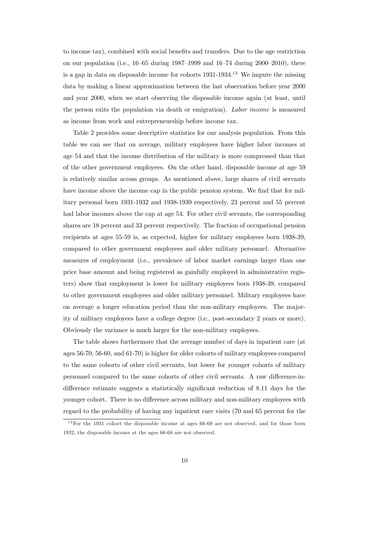to income tax), combined with social benefits and transfers. Due to the age restriction on our population (i.e.,  $16-65$  during  $1987-1999$  and  $16-74$  during  $2000-2010$ ), there is a gap in data on disposable income for cohorts  $1931-1934$ .<sup>13</sup> We impute the missing data by making a linear approximation between the last observation before year 2000 and year 2000, when we start observing the disposable income again (at least, until the person exits the population via death or emigration). Labor income is measured as income from work and entrepreneurship before income tax.

Table 2 provides some descriptive statistics for our analysis population. From this table we can see that on average, military employees have higher labor incomes at age 54 and that the income distribution of the military is more compressed than that of the other government employees. On the other hand, disposable income at age 59 is relatively similar across groups. As mentioned above, large shares of civil servants have income above the income cap in the public pension system. We find that for military personal born 1931-1932 and 1938-1939 respectively, 23 percent and 55 percent had labor incomes above the cap at age 54. For other civil servants, the corresponding shares are 18 percent and 33 percent respectively. The fraction of occupational pension recipients at ages 55-59 is, as expected, higher for military employees born 1938-39, compared to other government employees and older military personnel. Alternative measures of employment (i.e., prevalence of labor market earnings larger than one price base amount and being registered as gainfully employed in administrative registers) show that employment is lower for military employees born 1938-39, compared to other government employees and older military personnel. Military employees have on average a longer education period than the non-military employees. The majority of military employees have a college degree (i.e., post-secondary 2 years or more). Obviously the variance is much larger for the non-military employees.

The table shows furthermore that the average number of days in inpatient care (at ages 56-70, 56-60, and 61-70) is higher for older cohorts of military employees compared to the same cohorts of other civil servants, but lower for younger cohorts of military personnel compared to the same cohorts of other civil servants. A raw difference-indifference estimate suggests a statistically significant reduction of 8.11 days for the younger cohort. There is no difference across military and non-military employees with regard to the probability of having any inpatient care visits (70 and 65 percent for the

<sup>&</sup>lt;sup>13</sup> For the 1931 cohort the disposable income at ages 66-69 are not observed, and for those born 1932, the disposable income at the ages 66-68 are not observed.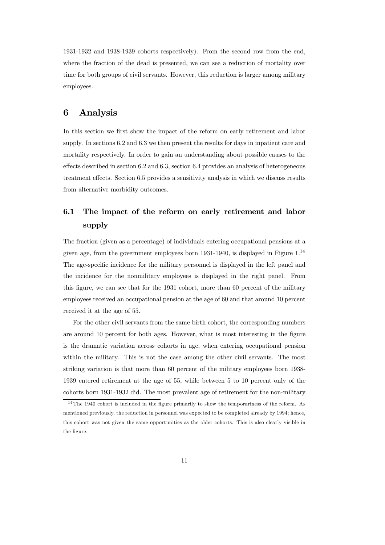1931-1932 and 1938-1939 cohorts respectively). From the second row from the end, where the fraction of the dead is presented, we can see a reduction of mortality over time for both groups of civil servants. However, this reduction is larger among military employees.

# 6 Analysis

In this section we first show the impact of the reform on early retirement and labor supply. In sections 6.2 and 6.3 we then present the results for days in inpatient care and mortality respectively. In order to gain an understanding about possible causes to the effects described in section 6.2 and 6.3, section 6.4 provides an analysis of heterogeneous treatment effects. Section 6.5 provides a sensitivity analysis in which we discuss results from alternative morbidity outcomes.

# 6.1 The impact of the reform on early retirement and labor supply

The fraction (given as a percentage) of individuals entering occupational pensions at a given age, from the government employees born 1931-1940, is displayed in Figure 1.14 The age-specific incidence for the military personnel is displayed in the left panel and the incidence for the nonmilitary employees is displayed in the right panel. From this figure, we can see that for the 1931 cohort, more than 60 percent of the military employees received an occupational pension at the age of 60 and that around 10 percent received it at the age of 55.

For the other civil servants from the same birth cohort, the corresponding numbers are around 10 percent for both ages. However, what is most interesting in the figure is the dramatic variation across cohorts in age, when entering occupational pension within the military. This is not the case among the other civil servants. The most striking variation is that more than 60 percent of the military employees born 1938- 1939 entered retirement at the age of 55, while between 5 to 10 percent only of the cohorts born 1931-1932 did. The most prevalent age of retirement for the non-military

<sup>&</sup>lt;sup>14</sup>The 1940 cohort is included in the figure primarily to show the temporariness of the reform. As mentioned previously, the reduction in personnel was expected to be completed already by 1994; hence, this cohort was not given the same opportunities as the older cohorts. This is also clearly visible in the figure.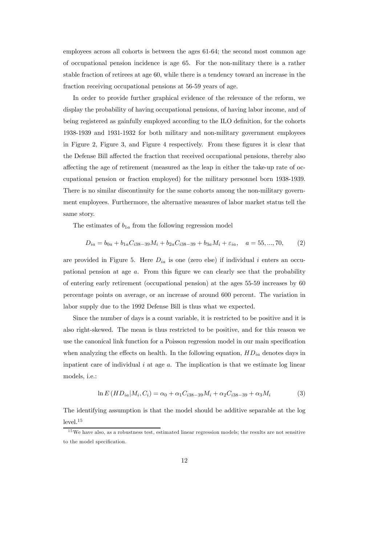employees across all cohorts is between the ages 61-64; the second most common age of occupational pension incidence is age 65. For the non-military there is a rather stable fraction of retirees at age 60, while there is a tendency toward an increase in the fraction receiving occupational pensions at 56-59 years of age.

In order to provide further graphical evidence of the relevance of the reform, we display the probability of having occupational pensions, of having labor income, and of being registered as gainfully employed according to the ILO definition, for the cohorts 1938-1939 and 1931-1932 for both military and non-military government employees in Figure 2, Figure 3, and Figure 4 respectively. From these figures it is clear that the Defense Bill affected the fraction that received occupational pensions, thereby also affecting the age of retirement (measured as the leap in either the take-up rate of occupational pension or fraction employed) for the military personnel born 1938-1939. There is no similar discontinuity for the same cohorts among the non-military government employees. Furthermore, the alternative measures of labor market status tell the same story.

The estimates of  $b_{1a}$  from the following regression model

$$
D_{ia} = b_{0a} + b_{1a}C_{i38-39}M_i + b_{2a}C_{i38-39} + b_{3a}M_i + \varepsilon_{ia}, \quad a = 55, ..., 70,
$$
 (2)

are provided in Figure 5. Here  $D_{ia}$  is one (zero else) if individual *i* enters an occupational pension at age  $a$ . From this figure we can clearly see that the probability of entering early retirement (occupational pension) at the ages 55-59 increases by 60 percentage points on average, or an increase of around 600 percent. The variation in labor supply due to the 1992 Defense Bill is thus what we expected.

Since the number of days is a count variable, it is restricted to be positive and it is also right-skewed. The mean is thus restricted to be positive, and for this reason we use the canonical link function for a Poisson regression model in our main specification when analyzing the effects on health. In the following equation,  $HD_{ia}$  denotes days in inpatient care of individual  $i$  at age  $a$ . The implication is that we estimate log linear models, i.e.:

$$
\ln E\left(HD_{ia}|M_i, C_i\right) = \alpha_0 + \alpha_1 C_{i38-39} M_i + \alpha_2 C_{i38-39} + \alpha_3 M_i \tag{3}
$$

The identifying assumption is that the model should be additive separable at the log  $level<sup>15</sup>$ 

 $15$  We have also, as a robustness test, estimated linear regression models; the results are not sensitive to the model specification.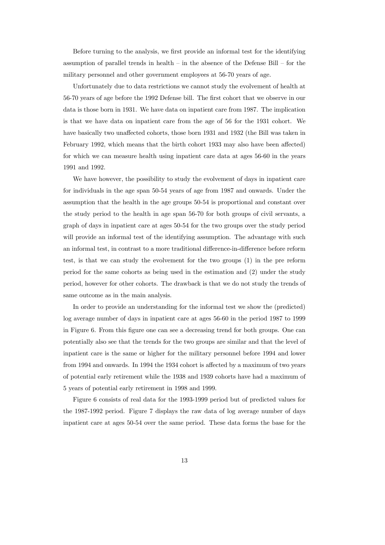Before turning to the analysis, we first provide an informal test for the identifying assumption of parallel trends in health  $-$  in the absence of the Defense Bill  $-$  for the military personnel and other government employees at 56-70 years of age.

Unfortunately due to data restrictions we cannot study the evolvement of health at 56-70 years of age before the 1992 Defense bill. The first cohort that we observe in our data is those born in 1931. We have data on inpatient care from 1987. The implication is that we have data on inpatient care from the age of 56 for the 1931 cohort. We have basically two unaffected cohorts, those born 1931 and 1932 (the Bill was taken in February 1992, which means that the birth cohort 1933 may also have been affected) for which we can measure health using inpatient care data at ages 56-60 in the years 1991 and 1992.

We have however, the possibility to study the evolvement of days in inpatient care for individuals in the age span 50-54 years of age from 1987 and onwards. Under the assumption that the health in the age groups 50-54 is proportional and constant over the study period to the health in age span 56-70 for both groups of civil servants, a graph of days in inpatient care at ages 50-54 for the two groups over the study period will provide an informal test of the identifying assumption. The advantage with such an informal test, in contrast to a more traditional difference-in-difference before reform test, is that we can study the evolvement for the two groups (1) in the pre reform period for the same cohorts as being used in the estimation and (2) under the study period, however for other cohorts. The drawback is that we do not study the trends of same outcome as in the main analysis.

In order to provide an understanding for the informal test we show the (predicted) log average number of days in inpatient care at ages 56-60 in the period 1987 to 1999 in Figure 6. From this figure one can see a decreasing trend for both groups. One can potentially also see that the trends for the two groups are similar and that the level of inpatient care is the same or higher for the military personnel before 1994 and lower from 1994 and onwards. In 1994 the 1934 cohort is affected by a maximum of two years of potential early retirement while the 1938 and 1939 cohorts have had a maximum of 5 years of potential early retirement in 1998 and 1999.

Figure 6 consists of real data for the 1993-1999 period but of predicted values for the 1987-1992 period. Figure 7 displays the raw data of log average number of days inpatient care at ages 50-54 over the same period. These data forms the base for the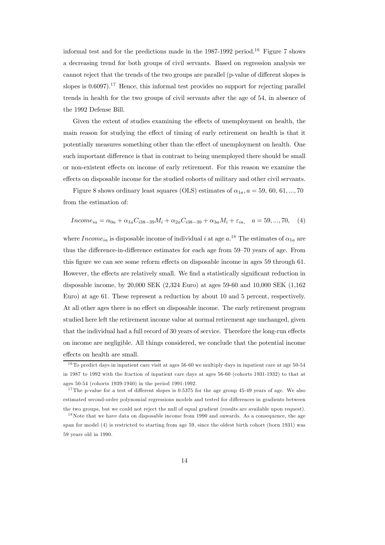informal test and for the predictions made in the  $1987-1992$  period.<sup>16</sup> Figure 7 shows a decreasing trend for both groups of civil servants. Based on regression analysis we cannot reject that the trends of the two groups are parallel (p-value of different slopes is slopes is  $0.6097$ .<sup>17</sup> Hence, this informal test provides no support for rejecting parallel trends in health for the two groups of civil servants after the age of 54, in absence of the 1992 Defense Bill.

Given the extent of studies examining the effects of unemployment on health, the main reason for studying the effect of timing of early retirement on health is that it potentially measures something other than the effect of unemployment on health. One such important difference is that in contrast to being unemployed there should be small or non-existent effects on income of early retirement. For this reason we examine the effects on disposable income for the studied cohorts of military and other civil servants.

Figure 8 shows ordinary least squares (OLS) estimates of  $\alpha_{1a}, a = 59, 60, 61, ..., 70$ from the estimation of:

$$
Income_{ia} = \alpha_{0a} + \alpha_{1a}C_{i38-39}M_i + \alpha_{2a}C_{i38-39} + \alpha_{3a}M_i + \varepsilon_{ia}, \quad a = 59,...,70, \quad (4)
$$

where *Income<sub>ia</sub>* is disposable income of individual *i* at age  $a^{18}$ . The estimates of  $\alpha_{1a}$  are thus the difference-in-difference estimates for each age from 59—70 years of age. From this figure we can see some reform effects on disposable income in ages 59 through 61. However, the effects are relatively small. We find a statistically significant reduction in disposable income, by 20,000 SEK (2,324 Euro) at ages 59-60 and 10,000 SEK (1,162 Euro) at age 61. These represent a reduction by about 10 and 5 percent, respectively. At all other ages there is no effect on disposable income. The early retirement program studied here left the retirement income value at normal retirement age unchanged, given that the individual had a full record of 30 years of service. Therefore the long-run effects on income are negligible. All things considered, we conclude that the potential income effects on health are small.

 $16$  To predict days in inpatient care visit at ages 56-60 we multiply days in inpatient care at age 50-54 in 1987 to 1992 with the fraction of inpatient care days at ages 56-60 (cohorts 1931-1932) to that at ages 50-54 (cohorts 1939-1940) in the period 1991-1992.

<sup>&</sup>lt;sup>17</sup>The p-value for a test of different slopes is  $0.5375$  for the age group 45-49 years of age. We also estimated second-order polynomial regressions models and tested for differences in gradients between the two groups, but we could not reject the null of equal gradient (results are available upon request).

<sup>&</sup>lt;sup>18</sup> Note that we have data on disposable income from 1990 and onwards. As a consequence, the age span for model (4) is restricted to starting from age 59, since the oldest birth cohort (born 1931) was 59 years old in 1990.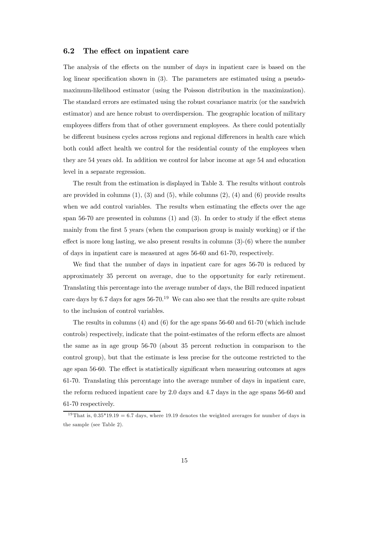#### 6.2 The effect on inpatient care

The analysis of the effects on the number of days in inpatient care is based on the log linear specification shown in (3). The parameters are estimated using a pseudomaximum-likelihood estimator (using the Poisson distribution in the maximization). The standard errors are estimated using the robust covariance matrix (or the sandwich estimator) and are hence robust to overdispersion. The geographic location of military employees differs from that of other government employees. As there could potentially be different business cycles across regions and regional differences in health care which both could affect health we control for the residential county of the employees when they are 54 years old. In addition we control for labor income at age 54 and education level in a separate regression.

The result from the estimation is displayed in Table 3. The results without controls are provided in columns  $(1)$ ,  $(3)$  and  $(5)$ , while columns  $(2)$ ,  $(4)$  and  $(6)$  provide results when we add control variables. The results when estimating the effects over the age span 56-70 are presented in columns (1) and (3). In order to study if the effect stems mainly from the first 5 years (when the comparison group is mainly working) or if the effect is more long lasting, we also present results in columns  $(3)-(6)$  where the number of days in inpatient care is measured at ages 56-60 and 61-70, respectively.

We find that the number of days in inpatient care for ages 56-70 is reduced by approximately 35 percent on average, due to the opportunity for early retirement. Translating this percentage into the average number of days, the Bill reduced inpatient care days by 6.7 days for ages  $56$ -70.<sup>19</sup> We can also see that the results are quite robust to the inclusion of control variables.

The results in columns (4) and (6) for the age spans 56-60 and 61-70 (which include controls) respectively, indicate that the point-estimates of the reform effects are almost the same as in age group 56-70 (about 35 percent reduction in comparison to the control group), but that the estimate is less precise for the outcome restricted to the age span 56-60. The effect is statistically significant when measuring outcomes at ages 61-70. Translating this percentage into the average number of days in inpatient care, the reform reduced inpatient care by 2.0 days and 4.7 days in the age spans 56-60 and 61-70 respectively.

<sup>&</sup>lt;sup>19</sup>That is,  $0.35*19.19 = 6.7$  days, where 19.19 denotes the weighted averages for number of days in the sample (see Table 2).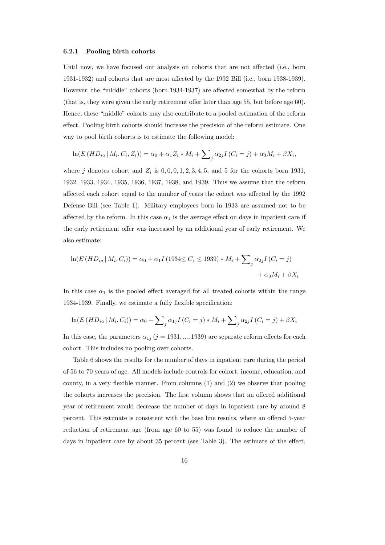#### 6.2.1 Pooling birth cohorts

Until now, we have focused our analysis on cohorts that are not affected (i.e., born 1931-1932) and cohorts that are most affected by the 1992 Bill (i.e., born 1938-1939). However, the "middle" cohorts (born 1934-1937) are affected somewhat by the reform (that is, they were given the early retirement offer later than age 55, but before age 60). Hence, these "middle" cohorts may also contribute to a pooled estimation of the reform effect. Pooling birth cohorts should increase the precision of the reform estimate. One way to pool birth cohorts is to estimate the following model:

$$
\ln(E(HD_{ia} | M_i, C_i, Z_i)) = \alpha_0 + \alpha_1 Z_i * M_i + \sum_j \alpha_{2j} I(C_i = j) + \alpha_3 M_i + \beta X_i,
$$

where *j* denotes cohort and  $Z_i$  is  $0, 0, 0, 1, 2, 3, 4, 5$ , and 5 for the cohorts born 1931, 1932, 1933, 1934, 1935, 1936, 1937, 1938, and 1939. Thus we assume that the reform affected each cohort equal to the number of years the cohort was affected by the 1992 Defense Bill (see Table 1). Military employees born in 1933 are assumed not to be affected by the reform. In this case  $\alpha_1$  is the average effect on days in inpatient care if the early retirement offer was increased by an additional year of early retirement. We also estimate:

$$
\ln(E(HD_{ia} | M_i, C_i)) = \alpha_0 + \alpha_1 I (1934 \le C_i \le 1939) * M_i + \sum_j \alpha_{2j} I (C_i = j) + \alpha_3 M_i + \beta X_i
$$

In this case  $\alpha_1$  is the pooled effect averaged for all treated cohorts within the range 1934-1939. Finally, we estimate a fully flexible specification:

$$
\ln(E(HD_{ia} | M_i, C_i)) = \alpha_0 + \sum_{j} \alpha_{1j} I(C_i = j) * M_i + \sum_{j} \alpha_{2j} I(C_i = j) + \beta X_i
$$

In this case, the parameters  $\alpha_{1j}$  ( $j = 1931, ..., 1939$ ) are separate reform effects for each cohort. This includes no pooling over cohorts.

Table 6 shows the results for the number of days in inpatient care during the period of 56 to 70 years of age. All models include controls for cohort, income, education, and county, in a very flexible manner. From columns (1) and (2) we observe that pooling the cohorts increases the precision. The first column shows that an offered additional year of retirement would decrease the number of days in inpatient care by around 8 percent. This estimate is consistent with the base line results, where an offered 5-year reduction of retirement age (from age 60 to 55) was found to reduce the number of days in inpatient care by about 35 percent (see Table 3). The estimate of the effect,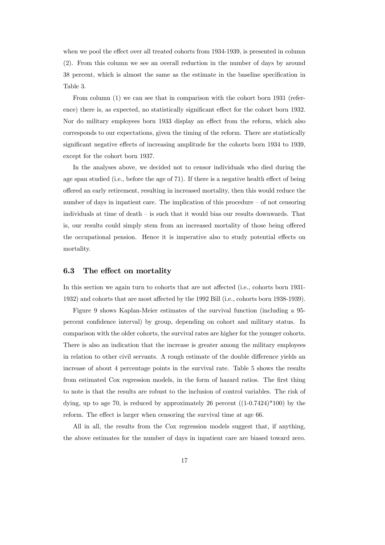when we pool the effect over all treated cohorts from 1934-1939, is presented in column (2). From this column we see an overall reduction in the number of days by around 38 percent, which is almost the same as the estimate in the baseline specification in Table 3.

From column (1) we can see that in comparison with the cohort born 1931 (reference) there is, as expected, no statistically significant effect for the cohort born 1932. Nor do military employees born 1933 display an effect from the reform, which also corresponds to our expectations, given the timing of the reform. There are statistically significant negative effects of increasing amplitude for the cohorts born 1934 to 1939, except for the cohort born 1937.

In the analyses above, we decided not to censor individuals who died during the age span studied (i.e., before the age of 71). If there is a negative health effect of being offered an early retirement, resulting in increased mortality, then this would reduce the number of days in inpatient care. The implication of this procedure  $-$  of not censoring individuals at time of death — is such that it would bias our results downwards. That is, our results could simply stem from an increased mortality of those being offered the occupational pension. Hence it is imperative also to study potential effects on mortality.

#### 6.3 The effect on mortality

In this section we again turn to cohorts that are not affected (i.e., cohorts born 1931- 1932) and cohorts that are most affected by the 1992 Bill (i.e., cohorts born 1938-1939).

Figure 9 shows Kaplan-Meier estimates of the survival function (including a 95 percent confidence interval) by group, depending on cohort and military status. In comparison with the older cohorts, the survival rates are higher for the younger cohorts. There is also an indication that the increase is greater among the military employees in relation to other civil servants. A rough estimate of the double difference yields an increase of about 4 percentage points in the survival rate. Table 5 shows the results from estimated Cox regression models, in the form of hazard ratios. The first thing to note is that the results are robust to the inclusion of control variables. The risk of dying, up to age 70, is reduced by approximately 26 percent  $((1-0.7424)^*100)$  by the reform. The effect is larger when censoring the survival time at age 66.

All in all, the results from the Cox regression models suggest that, if anything, the above estimates for the number of days in inpatient care are biased toward zero.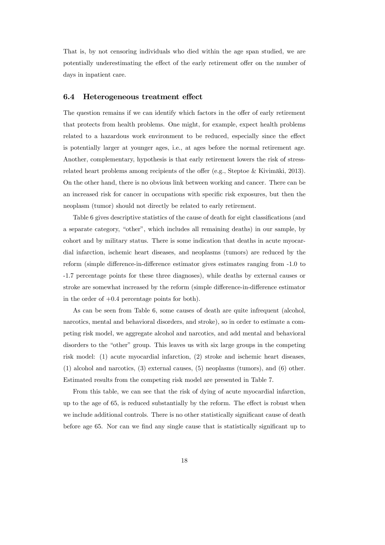That is, by not censoring individuals who died within the age span studied, we are potentially underestimating the effect of the early retirement offer on the number of days in inpatient care.

#### 6.4 Heterogeneous treatment effect

The question remains if we can identify which factors in the offer of early retirement that protects from health problems. One might, for example, expect health problems related to a hazardous work environment to be reduced, especially since the effect is potentially larger at younger ages, i.e., at ages before the normal retirement age. Another, complementary, hypothesis is that early retirement lowers the risk of stressrelated heart problems among recipients of the offer (e.g., Steptoe & Kivimäki, 2013). On the other hand, there is no obvious link between working and cancer. There can be an increased risk for cancer in occupations with specific risk exposures, but then the neoplasm (tumor) should not directly be related to early retirement.

Table 6 gives descriptive statistics of the cause of death for eight classifications (and a separate category, "other", which includes all remaining deaths) in our sample, by cohort and by military status. There is some indication that deaths in acute myocardial infarction, ischemic heart diseases, and neoplasms (tumors) are reduced by the reform (simple difference-in-difference estimator gives estimates ranging from -1.0 to -1.7 percentage points for these three diagnoses), while deaths by external causes or stroke are somewhat increased by the reform (simple difference-in-difference estimator in the order of  $+0.4$  percentage points for both).

As can be seen from Table 6, some causes of death are quite infrequent (alcohol, narcotics, mental and behavioral disorders, and stroke), so in order to estimate a competing risk model, we aggregate alcohol and narcotics, and add mental and behavioral disorders to the "other" group. This leaves us with six large groups in the competing risk model: (1) acute myocardial infarction, (2) stroke and ischemic heart diseases, (1) alcohol and narcotics, (3) external causes, (5) neoplasms (tumors), and (6) other. Estimated results from the competing risk model are presented in Table 7.

From this table, we can see that the risk of dying of acute myocardial infarction, up to the age of 65, is reduced substantially by the reform. The effect is robust when we include additional controls. There is no other statistically significant cause of death before age 65. Nor can we find any single cause that is statistically significant up to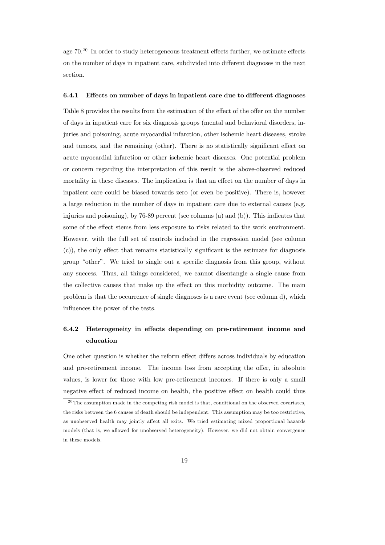age  $70<sup>20</sup>$  In order to study heterogeneous treatment effects further, we estimate effects on the number of days in inpatient care, subdivided into different diagnoses in the next section.

#### 6.4.1 Effects on number of days in inpatient care due to different diagnoses

Table 8 provides the results from the estimation of the effect of the offer on the number of days in inpatient care for six diagnosis groups (mental and behavioral disorders, injuries and poisoning, acute myocardial infarction, other ischemic heart diseases, stroke and tumors, and the remaining (other). There is no statistically significant effect on acute myocardial infarction or other ischemic heart diseases. One potential problem or concern regarding the interpretation of this result is the above-observed reduced mortality in these diseases. The implication is that an effect on the number of days in inpatient care could be biased towards zero (or even be positive). There is, however a large reduction in the number of days in inpatient care due to external causes (e.g. injuries and poisoning), by 76-89 percent (see columns (a) and (b)). This indicates that some of the effect stems from less exposure to risks related to the work environment. However, with the full set of controls included in the regression model (see column (c)), the only effect that remains statistically significant is the estimate for diagnosis group "other". We tried to single out a specific diagnosis from this group, without any success. Thus, all things considered, we cannot disentangle a single cause from the collective causes that make up the effect on this morbidity outcome. The main problem is that the occurrence of single diagnoses is a rare event (see column d), which influences the power of the tests.

# 6.4.2 Heterogeneity in effects depending on pre-retirement income and education

One other question is whether the reform effect differs across individuals by education and pre-retirement income. The income loss from accepting the offer, in absolute values, is lower for those with low pre-retirement incomes. If there is only a small negative effect of reduced income on health, the positive effect on health could thus

 $20$ The assumption made in the competing risk model is that, conditional on the observed covariates, the risks between the 6 causes of death should be independent. This assumption may be too restrictive, as unobserved health may jointly affect all exits. We tried estimating mixed proportional hazards models (that is, we allowed for unobserved heterogeneity). However, we did not obtain convergence in these models.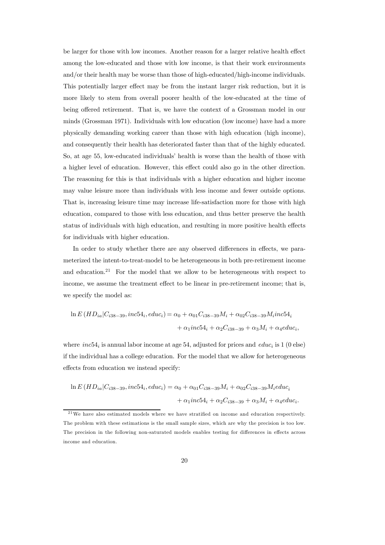be larger for those with low incomes. Another reason for a larger relative health effect among the low-educated and those with low income, is that their work environments and/or their health may be worse than those of high-educated/high-income individuals. This potentially larger effect may be from the instant larger risk reduction, but it is more likely to stem from overall poorer health of the low-educated at the time of being offered retirement. That is, we have the context of a Grossman model in our minds (Grossman 1971). Individuals with low education (low income) have had a more physically demanding working career than those with high education (high income), and consequently their health has deteriorated faster than that of the highly educated. So, at age 55, low-educated individuals' health is worse than the health of those with a higher level of education. However, this effect could also go in the other direction. The reasoning for this is that individuals with a higher education and higher income may value leisure more than individuals with less income and fewer outside options. That is, increasing leisure time may increase life-satisfaction more for those with high education, compared to those with less education, and thus better preserve the health status of individuals with high education, and resulting in more positive health effects for individuals with higher education.

In order to study whether there are any observed differences in effects, we parameterized the intent-to-treat-model to be heterogeneous in both pre-retirement income and education.<sup>21</sup> For the model that we allow to be heterogeneous with respect to income, we assume the treatment effect to be linear in pre-retirement income; that is, we specify the model as:

$$
\ln E(HD_{ia}|C_{i38-39}, inc54_i, educ_i) = \alpha_0 + \alpha_{01}C_{i38-39}M_i + \alpha_{02}C_{i38-39}M_iinc54_i
$$

$$
+ \alpha_1inc54_i + \alpha_2C_{i38-39} + \alpha_3M_i + \alpha_4educ_i,
$$

where  $inc54_i$  is annual labor income at age 54, adjusted for prices and  $educ_i$  is 1 (0 else) if the individual has a college education. For the model that we allow for heterogeneous effects from education we instead specify:

$$
\ln E(HD_{ia}|C_{i38-39}, inc54_i, educ_i) = \alpha_0 + \alpha_{01}C_{i38-39}M_i + \alpha_{02}C_{i38-39}M_ieduc_i
$$

$$
+ \alpha_1inc54_i + \alpha_2C_{i38-39} + \alpha_3M_i + \alpha_4educ_i.
$$

 $21$ We have also estimated models where we have stratified on income and education respectively. The problem with these estimations is the small sample sizes, which are why the precision is too low. The precision in the following non-saturated models enables testing for differences in effects across income and education.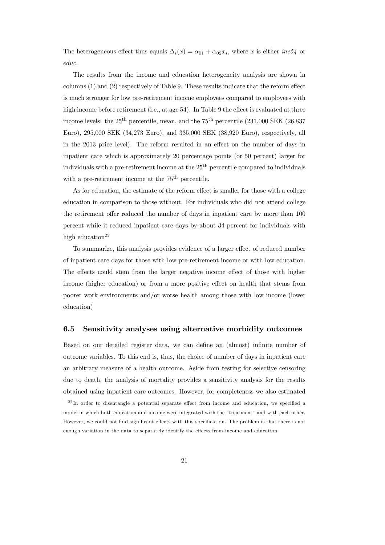The heterogeneous effect thus equals  $\Delta_i(x) = \alpha_{01} + \alpha_{02} x_i$ , where x is either  $inc54$  or  $educ.$ 

The results from the income and education heterogeneity analysis are shown in columns (1) and (2) respectively of Table 9. These results indicate that the reform effect is much stronger for low pre-retirement income employees compared to employees with high income before retirement (i.e., at age 54). In Table 9 the effect is evaluated at three income levels: the  $25<sup>th</sup>$  percentile, mean, and the  $75<sup>th</sup>$  percentile (231,000 SEK (26,837) Euro), 295,000 SEK (34,273 Euro), and 335,000 SEK (38,920 Euro), respectively, all in the 2013 price level). The reform resulted in an effect on the number of days in inpatient care which is approximately 20 percentage points (or 50 percent) larger for individuals with a pre-retirement income at the 25th percentile compared to individuals with a pre-retirement income at the  $75<sup>th</sup>$  percentile.

As for education, the estimate of the reform effect is smaller for those with a college education in comparison to those without. For individuals who did not attend college the retirement offer reduced the number of days in inpatient care by more than 100 percent while it reduced inpatient care days by about 34 percent for individuals with high education $22$ 

To summarize, this analysis provides evidence of a larger effect of reduced number of inpatient care days for those with low pre-retirement income or with low education. The effects could stem from the larger negative income effect of those with higher income (higher education) or from a more positive effect on health that stems from poorer work environments and/or worse health among those with low income (lower education)

#### 6.5 Sensitivity analyses using alternative morbidity outcomes

Based on our detailed register data, we can define an (almost) infinite number of outcome variables. To this end is, thus, the choice of number of days in inpatient care an arbitrary measure of a health outcome. Aside from testing for selective censoring due to death, the analysis of mortality provides a sensitivity analysis for the results obtained using inpatient care outcomes. However, for completeness we also estimated

<sup>&</sup>lt;sup>22</sup>In order to disentangle a potential separate effect from income and education, we specified a model in which both education and income were integrated with the "treatment" and with each other. However, we could not find significant effects with this specification. The problem is that there is not enough variation in the data to separately identify the effects from income and education.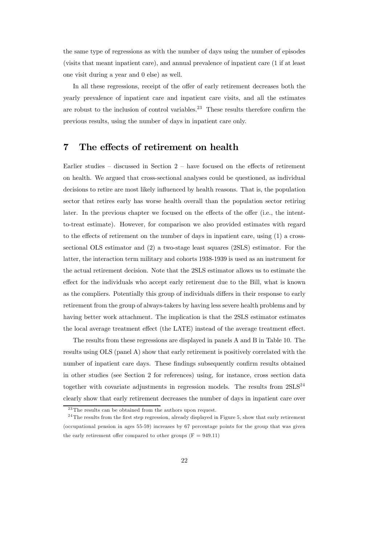the same type of regressions as with the number of days using the number of episodes (visits that meant inpatient care), and annual prevalence of inpatient care (1 if at least one visit during a year and 0 else) as well.

In all these regressions, receipt of the offer of early retirement decreases both the yearly prevalence of inpatient care and inpatient care visits, and all the estimates are robust to the inclusion of control variables.23 These results therefore confirm the previous results, using the number of days in inpatient care only.

### 7 The effects of retirement on health

Earlier studies — discussed in Section 2 — have focused on the effects of retirement on health. We argued that cross-sectional analyses could be questioned, as individual decisions to retire are most likely influenced by health reasons. That is, the population sector that retires early has worse health overall than the population sector retiring later. In the previous chapter we focused on the effects of the offer (i.e., the intentto-treat estimate). However, for comparison we also provided estimates with regard to the effects of retirement on the number of days in inpatient care, using (1) a crosssectional OLS estimator and (2) a two-stage least squares (2SLS) estimator. For the latter, the interaction term military and cohorts 1938-1939 is used as an instrument for the actual retirement decision. Note that the 2SLS estimator allows us to estimate the effect for the individuals who accept early retirement due to the Bill, what is known as the compliers. Potentially this group of individuals differs in their response to early retirement from the group of always-takers by having less severe health problems and by having better work attachment. The implication is that the 2SLS estimator estimates the local average treatment effect (the LATE) instead of the average treatment effect.

The results from these regressions are displayed in panels A and B in Table 10. The results using OLS (panel A) show that early retirement is positively correlated with the number of inpatient care days. These findings subsequently confirm results obtained in other studies (see Section 2 for references) using, for instance, cross section data together with covariate adjustments in regression models. The results from  $2SLS^{24}$ clearly show that early retirement decreases the number of days in inpatient care over

 $23$ The results can be obtained from the authors upon request.

<sup>&</sup>lt;sup>24</sup>The results from the first step regression, already displayed in Figure 5, show that early retirement (occupational pension in ages 55-59) increases by 67 percentage points for the group that was given the early retirement offer compared to other groups  $(F = 949.11)$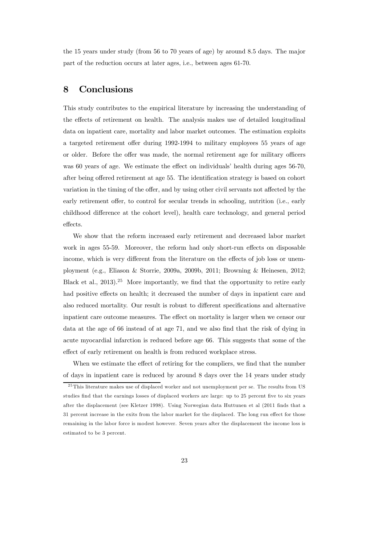the 15 years under study (from 56 to 70 years of age) by around 8.5 days. The major part of the reduction occurs at later ages, i.e., between ages 61-70.

### 8 Conclusions

This study contributes to the empirical literature by increasing the understanding of the effects of retirement on health. The analysis makes use of detailed longitudinal data on inpatient care, mortality and labor market outcomes. The estimation exploits a targeted retirement offer during 1992-1994 to military employees 55 years of age or older. Before the offer was made, the normal retirement age for military officers was 60 years of age. We estimate the effect on individuals' health during ages 56-70, after being offered retirement at age 55. The identification strategy is based on cohort variation in the timing of the offer, and by using other civil servants not affected by the early retirement offer, to control for secular trends in schooling, nutrition (i.e., early childhood difference at the cohort level), health care technology, and general period effects.

We show that the reform increased early retirement and decreased labor market work in ages 55-59. Moreover, the reform had only short-run effects on disposable income, which is very different from the literature on the effects of job loss or unemployment (e.g., Eliason & Storrie, 2009a, 2009b, 2011; Browning & Heinesen, 2012; Black et al., 2013).<sup>25</sup> More importantly, we find that the opportunity to retire early had positive effects on health; it decreased the number of days in inpatient care and also reduced mortality. Our result is robust to different specifications and alternative inpatient care outcome measures. The effect on mortality is larger when we censor our data at the age of 66 instead of at age 71, and we also find that the risk of dying in acute myocardial infarction is reduced before age 66. This suggests that some of the effect of early retirement on health is from reduced workplace stress.

When we estimate the effect of retiring for the compliers, we find that the number of days in inpatient care is reduced by around 8 days over the 14 years under study

<sup>&</sup>lt;sup>25</sup> This literature makes use of displaced worker and not unemployment per se. The results from US studies find that the earnings losses of displaced workers are large: up to 25 percent five to six years after the displacement (see Kletzer 1998). Using Norwegian data Huttunen et al (2011 finds that a 31 percent increase in the exits from the labor market for the displaced. The long run effect for those remaining in the labor force is modest however. Seven years after the displacement the income loss is estimated to be 3 percent.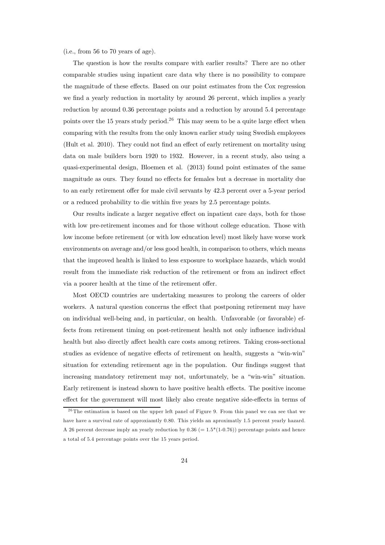(i.e., from 56 to 70 years of age).

The question is how the results compare with earlier results? There are no other comparable studies using inpatient care data why there is no possibility to compare the magnitude of these effects. Based on our point estimates from the Cox regression we find a yearly reduction in mortality by around 26 percent, which implies a yearly reduction by around 0.36 percentage points and a reduction by around 5.4 percentage points over the 15 years study period.<sup>26</sup> This may seem to be a quite large effect when comparing with the results from the only known earlier study using Swedish employees (Hult et al. 2010). They could not find an effect of early retirement on mortality using data on male builders born 1920 to 1932. However, in a recent study, also using a quasi-experimental design, Bloemen et al. (2013) found point estimates of the same magnitude as ours. They found no effects for females but a decrease in mortality due to an early retirement offer for male civil servants by 42.3 percent over a 5-year period or a reduced probability to die within five years by 2.5 percentage points.

Our results indicate a larger negative effect on inpatient care days, both for those with low pre-retirement incomes and for those without college education. Those with low income before retirement (or with low education level) most likely have worse work environments on average and/or less good health, in comparison to others, which means that the improved health is linked to less exposure to workplace hazards, which would result from the immediate risk reduction of the retirement or from an indirect effect via a poorer health at the time of the retirement offer.

Most OECD countries are undertaking measures to prolong the careers of older workers. A natural question concerns the effect that postponing retirement may have on individual well-being and, in particular, on health. Unfavorable (or favorable) effects from retirement timing on post-retirement health not only influence individual health but also directly affect health care costs among retirees. Taking cross-sectional studies as evidence of negative effects of retirement on health, suggests a "win-win" situation for extending retirement age in the population. Our findings suggest that increasing mandatory retirement may not, unfortunately, be a "win-win" situation. Early retirement is instead shown to have positive health effects. The positive income effect for the government will most likely also create negative side-effects in terms of

 $^{26}$ The estimation is based on the upper left panel of Figure 9. From this panel we can see that we have have a survival rate of approxiamtly 0.80. This yields an aproximatly 1.5 percent yearly hazard. A 26 percent decrease imply an yearly reduction by  $0.36 (= 1.5*(1-0.76))$  percentage points and hence a total of 5.4 percentage points over the 15 years period.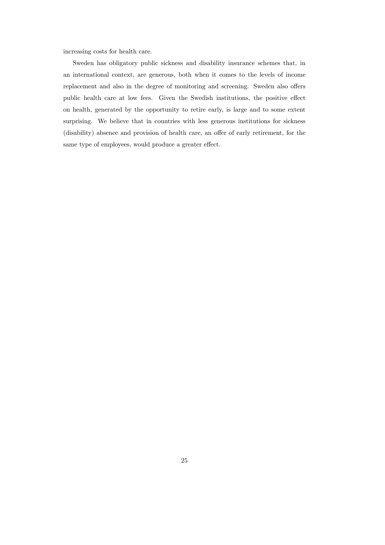increasing costs for health care.

Sweden has obligatory public sickness and disability insurance schemes that, in an international context, are generous, both when it comes to the levels of income replacement and also in the degree of monitoring and screening. Sweden also offers public health care at low fees. Given the Swedish institutions, the positive effect on health, generated by the opportunity to retire early, is large and to some extent surprising. We believe that in countries with less generous institutions for sickness (disability) absence and provision of health care, an offer of early retirement, for the same type of employees, would produce a greater effect.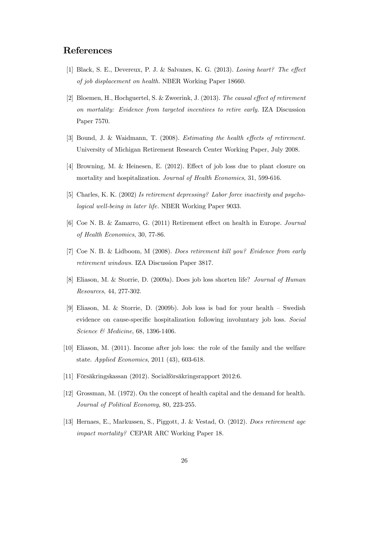### References

- [1] Black, S. E., Devereux, P. J. & Salvanes, K. G. (2013). Losing heart? The effect of job displacement on health. NBER Working Paper 18660.
- [2] Bloemen, H., Hochguertel, S. & Zweerink, J. (2013). The causal effect of retirement on mortality: Evidence from targeted incentives to retire early. IZA Discussion Paper 7570.
- [3] Bound, J. & Waidmann, T. (2008). Estimating the health effects of retirement. University of Michigan Retirement Research Center Working Paper, July 2008.
- [4] Browning, M. & Heinesen, E. (2012). Effect of job loss due to plant closure on mortality and hospitalization. Journal of Health Economics, 31, 599-616.
- [5] Charles, K. K. (2002) Is retirement depressing? Labor force inactivity and psychological well-being in later life. NBER Working Paper 9033.
- [6] Coe N. B. & Zamarro, G. (2011) Retirement effect on health in Europe. Journal of Health Economics, 30, 77-86.
- [7] Coe N. B. & Lidboom, M (2008). Does retirement kill you? Evidence from early retirement windows. IZA Discussion Paper 3817.
- [8] Eliason, M. & Storrie, D. (2009a). Does job loss shorten life? Journal of Human Resources, 44, 277-302.
- [9] Eliason, M. & Storrie, D. (2009b). Job loss is bad for your health Swedish evidence on cause-specific hospitalization following involuntary job loss. Social Science & Medicine, 68, 1396-1406.
- [10] Eliason, M. (2011). Income after job loss: the role of the family and the welfare state. Applied Economics, 2011 (43), 603-618.
- [11] Försäkringskassan (2012). Socialförsäkringsrapport 2012:6.
- [12] Grossman, M. (1972). On the concept of health capital and the demand for health. Journal of Political Economy, 80, 223-255.
- [13] Hernaes, E., Markussen, S., Piggott, J. & Vestad, O. (2012). Does retirement age impact mortality? CEPAR ARC Working Paper 18.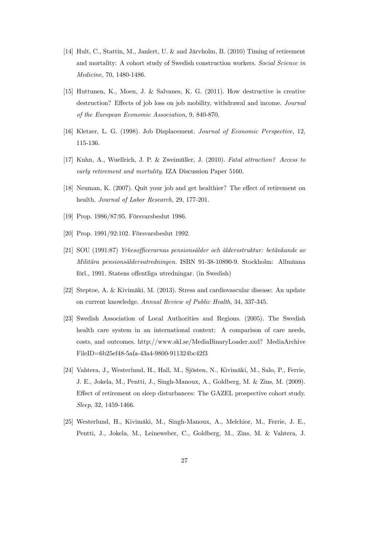- [14] Hult, C., Stattin, M., Janlert, U. & and Järvholm, B. (2010) Timing of retirement and mortality: A cohort study of Swedish construction workers. Social Science in Medicine, 70, 1480-1486.
- [15] Huttunen, K., Moen, J. & Salvanes, K. G. (2011). How destructive is creative destruction? Effects of job loss on job mobility, withdrawal and income. Journal of the European Economic Association, 9, 840-870.
- [16] Kletzer, L. G. (1998). Job Displacement. Journal of Economic Perspective, 12, 115-136.
- [17] Kuhn, A., Wuellrich, J. P. & Zweimüller, J. (2010). Fatal attraction? Access to early retirement and mortality. IZA Discussion Paper 5160.
- [18] Neuman, K. (2007). Quit your job and get healthier? The effect of retirement on health. Journal of Labor Research, 29, 177-201.
- [19] Prop. 1986/87:95. Försvarsbeslut 1986.
- [20] Prop. 1991/92:102. Försvarsbeslut 1992.
- [21] SOU (1991:87) Yrkesofficerarnas pensionsålder och åldersstruktur: betänkande av Militära pensionsåldersutredningen. ISBN 91-38-10890-9. Stockholm: Allmänna förl., 1991. Statens offentliga utredningar. (in Swedish)
- [22] Steptoe, A. & Kivimäki, M. (2013). Stress and cardiovascular disease: An update on current knowledge. Annual Review of Public Health, 34, 337-345.
- [23] Swedish Association of Local Authorities and Regions. (2005). The Swedish health care system in an international context: A comparison of care needs, costs, and outcomes. http://www.skl.se/MediaBinaryLoader.axd? MediaArchive FileID=6b25ef48-5afa-43a4-9800-911324bc42f3
- [24] Vahtera, J., Westerlund, H., Hall, M., Sjösten, N., Kivimäki, M., Salo, P., Ferrie, J. E., Jokela, M., Pentti, J., Singh-Manoux, A., Goldberg, M. & Zins, M. (2009). Effect of retirement on sleep disturbances: The GAZEL prospective cohort study. Sleep, 32, 1459-1466.
- [25] Westerlund, H., Kivimäki, M., Singh-Manoux, A., Melchior, M., Ferrie, J. E., Pentti, J., Jokela, M., Leineweber, C., Goldberg, M., Zins, M. & Vahtera, J.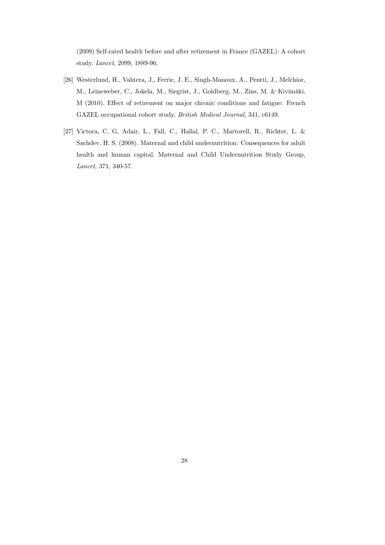(2009) Self-rated health before and after retirement in France (GAZEL): A cohort study. Lancet, 2099, 1889-96.

- [26] Westerlund, H., Vahtera, J., Ferrie, J. E., Singh-Manoux, A., Pentti, J., Melchior, M., Leineweber, C., Jokela, M., Siegrist, J., Goldberg, M., Zins, M. & Kivimäki, M (2010). Effect of retirement on major chronic conditions and fatigue: French GAZEL occupational cohort study. British Medical Journal, 341, c6149.
- [27] Victora, C. G, Adair, L., Fall, C., Hallal, P. C., Martorell, R., Richter, L. & Sachdev, H. S. (2008). Maternal and child undernutrition: Consequences for adult health and human capital. Maternal and Child Undernutrition Study Group, Lancet, 371, 340-57.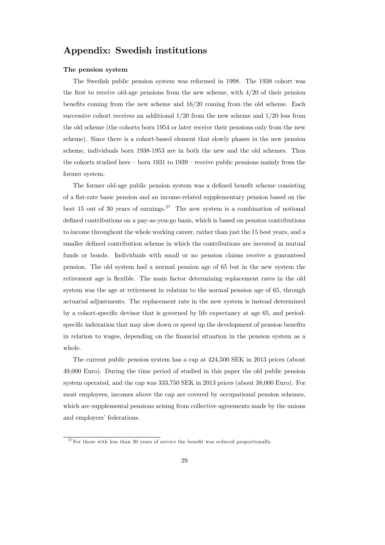# Appendix: Swedish institutions

#### The pension system

The Swedish public pension system was reformed in 1998. The 1938 cohort was the first to receive old-age pensions from the new scheme, with  $4/20$  of their pension benefits coming from the new scheme and 16/20 coming from the old scheme. Each successive cohort receives an additional  $1/20$  from the new scheme and  $1/20$  less from the old scheme (the cohorts born 1954 or later receive their pensions only from the new scheme). Since there is a cohort-based element that slowly phases in the new pension scheme, individuals born 1938-1953 are in both the new and the old schemes. Thus the cohorts studied here — born 1931 to 1939 — receive public pensions mainly from the former system.

The former old-age public pension system was a defined benefit scheme consisting of a flat-rate basic pension and an income-related supplementary pension based on the best 15 out of 30 years of earnings.<sup>27</sup> The new system is a combination of notional defined contributions on a pay-as-you-go basis, which is based on pension contributions to income throughout the whole working career, rather than just the 15 best years, and a smaller defined contribution scheme in which the contributions are invested in mutual funds or bonds. Individuals with small or no pension claims receive a guaranteed pension. The old system had a normal pension age of 65 but in the new system the retirement age is flexible. The main factor determining replacement rates in the old system was the age at retirement in relation to the normal pension age of 65, through actuarial adjustments. The replacement rate in the new system is instead determined by a cohort-specific devisor that is governed by life expectancy at age 65, and periodspecific indexation that may slow down or speed up the development of pension benefits in relation to wages, depending on the financial situation in the pension system as a whole.

The current public pension system has a cap at 424,500 SEK in 2013 prices (about 49,000 Euro). During the time period of studied in this paper the old public pension system operated, and the cap was 333,750 SEK in 2013 prices (about 38,000 Euro). For most employees, incomes above the cap are covered by occupational pension schemes, which are supplemental pensions arising from collective agreements made by the unions and employers' federations.

 $27$  For those with less than 30 years of service the benefit was reduced proportionally.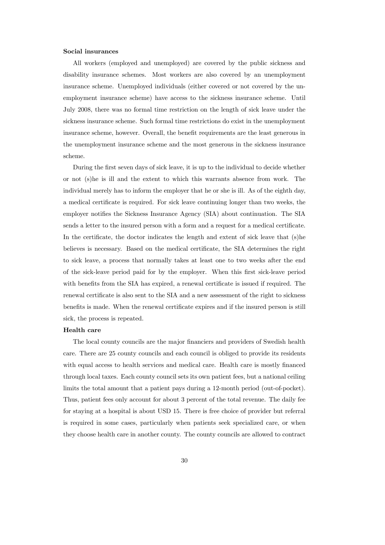#### Social insurances

All workers (employed and unemployed) are covered by the public sickness and disability insurance schemes. Most workers are also covered by an unemployment insurance scheme. Unemployed individuals (either covered or not covered by the unemployment insurance scheme) have access to the sickness insurance scheme. Until July 2008, there was no formal time restriction on the length of sick leave under the sickness insurance scheme. Such formal time restrictions do exist in the unemployment insurance scheme, however. Overall, the benefit requirements are the least generous in the unemployment insurance scheme and the most generous in the sickness insurance scheme.

During the first seven days of sick leave, it is up to the individual to decide whether or not (s)he is ill and the extent to which this warrants absence from work. The individual merely has to inform the employer that he or she is ill. As of the eighth day, a medical certificate is required. For sick leave continuing longer than two weeks, the employer notifies the Sickness Insurance Agency (SIA) about continuation. The SIA sends a letter to the insured person with a form and a request for a medical certificate. In the certificate, the doctor indicates the length and extent of sick leave that (s)he believes is necessary. Based on the medical certificate, the SIA determines the right to sick leave, a process that normally takes at least one to two weeks after the end of the sick-leave period paid for by the employer. When this first sick-leave period with benefits from the SIA has expired, a renewal certificate is issued if required. The renewal certificate is also sent to the SIA and a new assessment of the right to sickness benefits is made. When the renewal certificate expires and if the insured person is still sick, the process is repeated.

#### Health care

The local county councils are the major financiers and providers of Swedish health care. There are 25 county councils and each council is obliged to provide its residents with equal access to health services and medical care. Health care is mostly financed through local taxes. Each county council sets its own patient fees, but a national ceiling limits the total amount that a patient pays during a 12-month period (out-of-pocket). Thus, patient fees only account for about 3 percent of the total revenue. The daily fee for staying at a hospital is about USD 15. There is free choice of provider but referral is required in some cases, particularly when patients seek specialized care, or when they choose health care in another county. The county councils are allowed to contract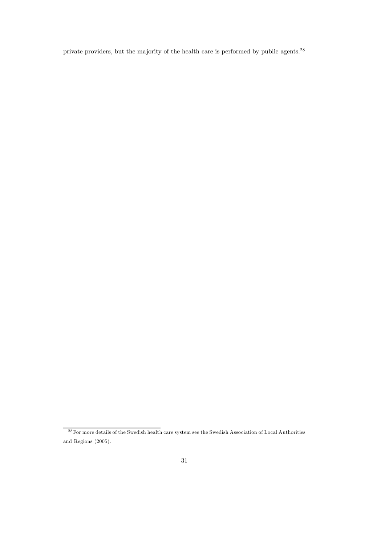private providers, but the majority of the health care is performed by public agents.<sup>28</sup>

<sup>&</sup>lt;sup>28</sup> For more details of the Swedish health care system see the Swedish Association of Local Authorities and Regions (2005).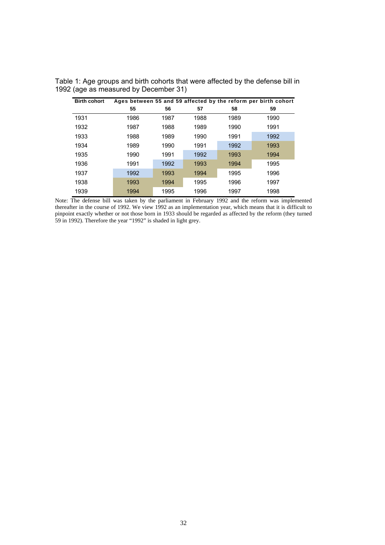| <b>Birth cohort</b> |      |      |      |      | Ages between 55 and 59 affected by the reform per birth cohort |
|---------------------|------|------|------|------|----------------------------------------------------------------|
|                     | 55   | 56   | 57   | 58   | 59                                                             |
| 1931                | 1986 | 1987 | 1988 | 1989 | 1990                                                           |
| 1932                | 1987 | 1988 | 1989 | 1990 | 1991                                                           |
| 1933                | 1988 | 1989 | 1990 | 1991 | 1992                                                           |
| 1934                | 1989 | 1990 | 1991 | 1992 | 1993                                                           |
| 1935                | 1990 | 1991 | 1992 | 1993 | 1994                                                           |
| 1936                | 1991 | 1992 | 1993 | 1994 | 1995                                                           |
| 1937                | 1992 | 1993 | 1994 | 1995 | 1996                                                           |
| 1938                | 1993 | 1994 | 1995 | 1996 | 1997                                                           |
| 1939                | 1994 | 1995 | 1996 | 1997 | 1998                                                           |

Table 1: Age groups and birth cohorts that were affected by the defense bill in 1992 (age as measured by December 31)

Note: The defense bill was taken by the parliament in February 1992 and the reform was implemented thereafter in the course of 1992. We view 1992 as an implementation year, which means that it is difficult to pinpoint exactly whether or not those born in 1933 should be regarded as affected by the reform (they turned 59 in 1992). Therefore the year "1992" is shaded in light grey.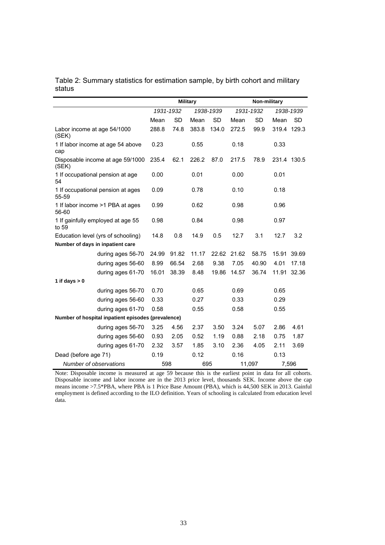Table 2: Summary statistics for estimation sample, by birth cohort and military status

|                                                    | <b>Military</b> |           |       | Non-military |       |           |             |             |
|----------------------------------------------------|-----------------|-----------|-------|--------------|-------|-----------|-------------|-------------|
|                                                    |                 | 1931-1932 |       | 1938-1939    |       | 1931-1932 |             | 1938-1939   |
|                                                    | Mean            | <b>SD</b> | Mean  | <b>SD</b>    | Mean  | <b>SD</b> | Mean        | <b>SD</b>   |
| Labor income at age 54/1000<br>(SEK)               | 288.8           | 74.8      | 383.8 | 134.0        | 272.5 | 99.9      | 319.4 129.3 |             |
| 1 If labor income at age 54 above<br>cap           | 0.23            |           | 0.55  |              | 0.18  |           | 0.33        |             |
| Disposable income at age 59/1000<br>(SEK)          | 235.4           | 62.1      | 226.2 | 87.0         | 217.5 | 78.9      | 231.4 130.5 |             |
| 1 If occupational pension at age<br>54             | 0.00            |           | 0.01  |              | 0.00  |           | 0.01        |             |
| 1 If occupational pension at ages<br>55-59         | 0.09            |           | 0.78  |              | 0.10  |           | 0.18        |             |
| 1 If labor income >1 PBA at ages<br>56-60          | 0.99            |           | 0.62  |              | 0.98  |           | 0.96        |             |
| 1 If gainfully employed at age 55<br>to 59         | 0.98            |           | 0.84  |              | 0.98  |           | 0.97        |             |
| Education level (yrs of schooling)                 | 14.8            | 0.8       | 14.9  | 0.5          | 12.7  | 3.1       | 12.7        | 3.2         |
| Number of days in inpatient care                   |                 |           |       |              |       |           |             |             |
| during ages 56-70                                  | 24.99           | 91.82     | 11.17 | 22.62        | 21.62 | 58.75     | 15.91       | 39.69       |
| during ages 56-60                                  | 8.99            | 66.54     | 2.68  | 9.38         | 7.05  | 40.90     | 4.01        | 17.18       |
| during ages 61-70                                  | 16.01           | 38.39     | 8.48  | 19.86        | 14.57 | 36.74     |             | 11.91 32.36 |
| 1 if days $> 0$                                    |                 |           |       |              |       |           |             |             |
| during ages 56-70                                  | 0.70            |           | 0.65  |              | 0.69  |           | 0.65        |             |
| during ages 56-60                                  | 0.33            |           | 0.27  |              | 0.33  |           | 0.29        |             |
| during ages 61-70                                  | 0.58            |           | 0.55  |              | 0.58  |           | 0.55        |             |
| Number of hospital inpatient episodes (prevalence) |                 |           |       |              |       |           |             |             |
| during ages 56-70                                  | 3.25            | 4.56      | 2.37  | 3.50         | 3.24  | 5.07      | 2.86        | 4.61        |
| during ages 56-60                                  | 0.93            | 2.05      | 0.52  | 1.19         | 0.88  | 2.18      | 0.75        | 1.87        |
| during ages 61-70                                  | 2.32            | 3.57      | 1.85  | 3.10         | 2.36  | 4.05      | 2.11        | 3.69        |
| Dead (before age 71)                               | 0.19            |           | 0.12  |              | 0.16  |           | 0.13        |             |
| Number of observations                             | 598             |           | 695   |              |       | 11,097    |             | 7,596       |

Note: Disposable income is measured at age 59 because this is the earliest point in data for all cohorts. Disposable income and labor income are in the 2013 price level, thousands SEK. Income above the cap means income >7.5\*PBA, where PBA is 1 Price Base Amount (PBA), which is 44,500 SEK in 2013. Gainful employment is defined according to the ILO definition. Years of schooling is calculated from education level data.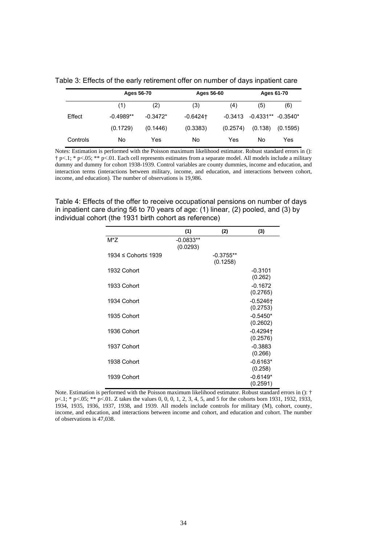|          |             | Ages 56-70 |             | Ages 56-60 | Ages 61-70             |          |  |
|----------|-------------|------------|-------------|------------|------------------------|----------|--|
|          | (1)         | (2)        | (3)         | (4)        | (5)                    | (6)      |  |
| Effect   | $-0.4989**$ | $-0.3472*$ | $-0.6424$ † | -0.3413    | $-0.4331**$ $-0.3540*$ |          |  |
|          | (0.1729)    | (0.1446)   | (0.3383)    | (0.2574)   | (0.138)                | (0.1595) |  |
| Controls | No          | Yes        | No          | Yes        | No                     | Yes      |  |

Table 3: Effects of the early retirement offer on number of days inpatient care

Notes: Estimation is performed with the Poisson maximum likelihood estimator. Robust standard errors in (): † p<.1; \* p<.05; \*\* p<.01. Each cell represents estimates from a separate model. All models include a military dummy and dummy for cohort 1938-1939. Control variables are county dummies, income and education, and interaction terms (interactions between military, income, and education, and interactions between cohort, income, and education). The number of observations is 19,986.

Table 4: Effects of the offer to receive occupational pensions on number of days in inpatient care during 56 to 70 years of age: (1) linear, (2) pooled, and (3) by individual cohort (the 1931 birth cohort as reference)

|                     | (1)                     | (2)                     | (3)                                |
|---------------------|-------------------------|-------------------------|------------------------------------|
| $M^*Z$              | $-0.0833**$<br>(0.0293) |                         |                                    |
| 1934 ≤ Cohort≤ 1939 |                         | $-0.3755**$<br>(0.1258) |                                    |
| 1932 Cohort         |                         |                         | $-0.3101$<br>(0.262)               |
| 1933 Cohort         |                         |                         | $-0.1672$<br>(0.2765)              |
| 1934 Cohort         |                         |                         | $-0.5246$ <sup>+</sup><br>(0.2753) |
| 1935 Cohort         |                         |                         | $-0.5450*$<br>(0.2602)             |
| 1936 Cohort         |                         |                         | $-0.4294$<br>(0.2576)              |
| 1937 Cohort         |                         |                         | $-0.3883$<br>(0.266)               |
| 1938 Cohort         |                         |                         | $-0.6163*$<br>(0.258)              |
| 1939 Cohort         |                         |                         | $-0.6149*$<br>(0.2591)             |

Note. Estimation is performed with the Poisson maximum likelihood estimator. Robust standard errors in (): † p<.1; \* p<.05; \*\* p<.01. Z takes the values 0, 0, 0, 1, 2, 3, 4, 5, and 5 for the cohorts born 1931, 1932, 1933, 1934, 1935, 1936, 1937, 1938, and 1939. All models include controls for military (M), cohort, county, income, and education, and interactions between income and cohort, and education and cohort. The number of observations is 47,038.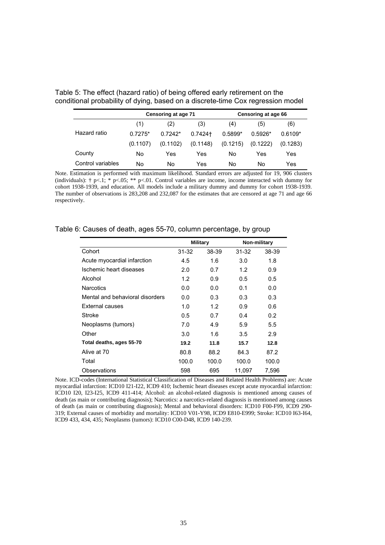|                   |           | Censoring at age 71 |          |           | Censoring at age 66 |           |
|-------------------|-----------|---------------------|----------|-----------|---------------------|-----------|
|                   | (1)       | (2)                 | (3)      | (4)       | (5)                 | (6)       |
| Hazard ratio      | $0.7275*$ | $0.7242*$           | 0.7424+  | $0.5899*$ | $0.5926*$           | $0.6109*$ |
|                   | (0.1107)  | (0.1102)            | (0.1148) | (0.1215)  | (0.1222)            | (0.1283)  |
| County            | No        | Yes                 | Yes      | No        | Yes                 | Yes       |
| Control variables | No        | No                  | Yes      | No        | No                  | Yes       |

Table 5: The effect (hazard ratio) of being offered early retirement on the conditional probability of dying, based on a discrete-time Cox regression model

Note. Estimation is performed with maximum likelihood. Standard errors are adjusted for 19, 906 clusters (individuals):  $\uparrow$  p<.1; \* p<.05; \*\* p<.01. Control variables are income, income interacted with dummy for cohort 1938-1939, and education. All models include a military dummy and dummy for cohort 1938-1939. The number of observations is 283,208 and 232,087 for the estimates that are censored at age 71 and age 66 respectively.

|                                 | <b>Military</b> |       |        | Non-military |
|---------------------------------|-----------------|-------|--------|--------------|
| Cohort                          | 31-32           | 38-39 | 31-32  | 38-39        |
| Acute myocardial infarction     | 4.5             | 1.6   | 3.0    | 1.8          |
| Ischemic heart diseases         | 2.0             | 0.7   | 1.2    | 0.9          |
| Alcohol                         | 1.2             | 0.9   | 0.5    | 0.5          |
| <b>Narcotics</b>                | 0.0             | 0.0   | 0.1    | 0.0          |
| Mental and behavioral disorders | 0.0             | 0.3   | 0.3    | 0.3          |
| External causes                 | 1.0             | 1.2   | 0.9    | 0.6          |
| Stroke                          | 0.5             | 0.7   | 0.4    | 0.2          |
| Neoplasms (tumors)              | 7.0             | 4.9   | 5.9    | 5.5          |
| Other                           | 3.0             | 1.6   | 3.5    | 2.9          |
| Total deaths, ages 55-70        | 19.2            | 11.8  | 15.7   | 12.8         |
| Alive at 70                     | 80.8            | 88.2  | 84.3   | 87.2         |
| Total                           | 100.0           | 100.0 | 100.0  | 100.0        |
| Observations                    | 598             | 695   | 11,097 | 7,596        |

Table 6: Causes of death, ages 55-70, column percentage, by group

Note. ICD-codes (International Statistical Classification of Diseases and Related Health Problems) are: Acute myocardial infarction: ICD10 I21-I22, ICD9 410; Ischemic heart diseases except acute myocardial infarction: ICD10 I20, I23-I25, ICD9 411-414; Alcohol: an alcohol-related diagnosis is mentioned among causes of death (as main or contributing diagnosis); Narcotics: a narcotics-related diagnosis is mentioned among causes of death (as main or contributing diagnosis); Mental and behavioral disorders: ICD10 F00-F99, ICD9 290- 319; External causes of morbidity and mortality: ICD10 V01-Y98, ICD9 E810-E999; Stroke: ICD10 I63-I64, ICD9 433, 434, 435; Neoplasms (tumors): ICD10 C00-D48, ICD9 140-239.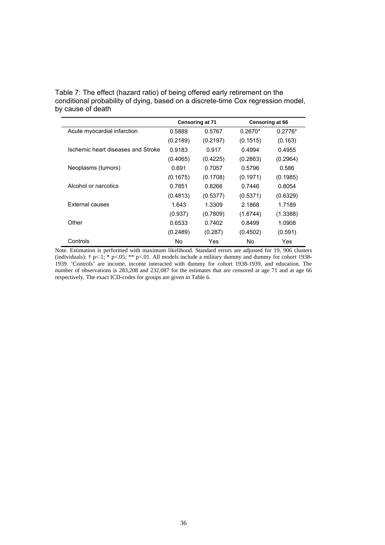Table 7: The effect (hazard ratio) of being offered early retirement on the conditional probability of dying, based on a discrete-time Cox regression model, by cause of death

|                                    |          | <b>Censoring at 71</b> |           | Censoring at 66 |
|------------------------------------|----------|------------------------|-----------|-----------------|
| Acute myocardial infarction        | 0.5889   | 0.5767                 | $0.2670*$ | $0.2776*$       |
|                                    | (0.2189) | (0.2197)               | (0.1515)  | (0.163)         |
| Ischemic heart diseases and Stroke | 0.9183   | 0.917                  | 0.4994    | 0.4955          |
|                                    | (0.4065) | (0.4225)               | (0.2863)  | (0.2964)        |
| Neoplasms (tumors)                 | 0.691    | 0.7057                 | 0.5796    | 0.586           |
|                                    | (0.1675) | (0.1708)               | (0.1971)  | (0.1985)        |
| Alcohol or narcotics               | 0.7851   | 0.8266                 | 0.7446    | 0.8054          |
|                                    | (0.4813) | (0.5377)               | (0.5371)  | (0.6329)        |
| External causes                    | 1.643    | 1.3309                 | 2.1868    | 1.7189          |
|                                    | (0.937)  | (0.7809)               | (1.6744)  | (1.3388)        |
| Other                              | 0.6533   | 0.7402                 | 0.8499    | 1.0908          |
|                                    | (0.2489) | (0.287)                | (0.4502)  | (0.591)         |
| Controls                           | No       | Yes                    | No        | Yes             |

Note. Estimation is performed with maximum likelihood. Standard errors are adjusted for 19, 906 clusters (individuals):  $\uparrow$  p<.1; \* p<.05; \*\* p<.01. All models include a military dummy and dummy for cohort 1938-1939. 'Controls' are income, income interacted with dummy for cohort 1938-1939, and education. The number of observations is 283,208 and 232,087 for the estimates that are censored at age 71 and at age 66 respectively. The exact ICD-codes for groups are given in Table 6.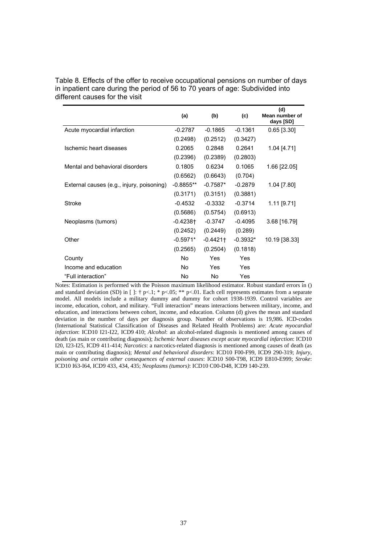|                                           | (a)                    | (b)        | (c)        | (d)<br>Mean number of<br>days [SD] |
|-------------------------------------------|------------------------|------------|------------|------------------------------------|
| Acute myocardial infarction               | $-0.2787$              | $-0.1865$  | $-0.1361$  | $0.65$ [3.30]                      |
|                                           | (0.2498)               | (0.2512)   | (0.3427)   |                                    |
| Ischemic heart diseases                   | 0.2065                 | 0.2848     | 0.2641     | $1.04$ [4.71]                      |
|                                           | (0.2396)               | (0.2389)   | (0.2803)   |                                    |
| Mental and behavioral disorders           | 0.1805                 | 0.6234     | 0.1065     | 1.66 [22.05]                       |
|                                           | (0.6562)               | (0.6643)   | (0.704)    |                                    |
| External causes (e.g., injury, poisoning) | $-0.8855**$            | $-0.7587*$ | $-0.2879$  | 1.04 [7.80]                        |
|                                           | (0.3171)               | (0.3151)   | (0.3881)   |                                    |
| Stroke                                    | $-0.4532$              | $-0.3332$  | $-0.3714$  | $1.11$ [9.71]                      |
|                                           | (0.5686)               | (0.5754)   | (0.6913)   |                                    |
| Neoplasms (tumors)                        | $-0.4238$ <sup>+</sup> | -0.3747    | $-0.4095$  | 3.68 [16.79]                       |
|                                           | (0.2452)               | (0.2449)   | (0.289)    |                                    |
| Other                                     | $-0.5971*$             | $-0.4421$  | $-0.3932*$ | 10.19 [38.33]                      |
|                                           | (0.2565)               | (0.2504)   | (0.1818)   |                                    |
| County                                    | No                     | Yes        | Yes        |                                    |
| Income and education                      | No                     | Yes        | Yes        |                                    |
| "Full interaction"                        | No                     | No.        | Yes        |                                    |

Table 8. Effects of the offer to receive occupational pensions on number of days in inpatient care during the period of 56 to 70 years of age: Subdivided into different causes for the visit

Notes: Estimation is performed with the Poisson maximum likelihood estimator. Robust standard errors in () and standard deviation (SD) in  $[ ]: \dagger p<.1; * p<.05; ** p<.01$ . Each cell represents estimates from a separate model. All models include a military dummy and dummy for cohort 1938-1939. Control variables are income, education, cohort, and military. "Full interaction" means interactions between military, income, and education, and interactions between cohort, income, and education. Column (d) gives the mean and standard deviation in the number of days per diagnosis group. Number of observations is 19,986. ICD-codes (International Statistical Classification of Diseases and Related Health Problems) are: *Acute myocardial infarction*: ICD10 I21-I22, ICD9 410; *Alcohol*: an alcohol-related diagnosis is mentioned among causes of death (as main or contributing diagnosis); *Ischemic heart diseases except acute myocardial infarction*: ICD10 I20, I23-I25, ICD9 411-414; *Narcotics*: a narcotics-related diagnosis is mentioned among causes of death (as main or contributing diagnosis); *Mental and behavioral disorders*: ICD10 F00-F99, ICD9 290-319; *Injury, poisoning and certain other consequences of external causes*: ICD10 S00-T98, ICD9 E810-E999; *Stroke*: ICD10 I63-I64, ICD9 433, 434, 435; *Neoplasms (tumors)*: ICD10 C00-D48, ICD9 140-239.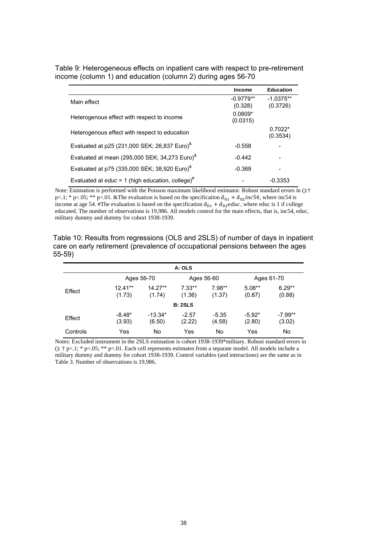|                                                              | Table 9: Heterogeneous effects on inpatient care with respect to pre-retirement |
|--------------------------------------------------------------|---------------------------------------------------------------------------------|
| income (column 1) and education (column 2) during ages 56-70 |                                                                                 |

|                                                                | <b>Income</b>          | <b>Education</b>        |
|----------------------------------------------------------------|------------------------|-------------------------|
| Main effect                                                    | $-0.9779**$<br>(0.328) | $-1.0375**$<br>(0.3726) |
| Heterogenous effect with respect to income                     | $0.0809*$<br>(0.0315)  |                         |
| Heterogenous effect with respect to education                  |                        | $0.7022*$<br>(0.3534)   |
| Evaluated at p25 (231,000 SEK; 26,837 Euro) <sup>&amp;</sup>   | $-0.558$               |                         |
| Evaluated at mean (295,000 SEK; 34,273 Euro) <sup>&amp;</sup>  | $-0.442$               |                         |
| Evaluated at p75 (335,000 SEK; 38,920 Euro) <sup>&amp;</sup>   | $-0.369$               |                         |
| Evaluated at $educ = 1$ (high education, college) <sup>#</sup> |                        | $-0.3353$               |

Note: Estimation is performed with the Poisson maximum likelihood estimator. Robust standard errors in ():† p<.1; \* p<.05; \*\* p<.01. &The evaluation is based on the specification  $\hat{a}_{01} + \hat{a}_{02}$  inc54, where inc54 is income at age 54. #The evaluation is based on the specification  $\hat{a}_{01} + \hat{a}_{02}$  educ, where educ is 1 if college educated. The number of observations is 19,986. All models control for the main effects, that is, inc54, educ, military dummy and dummy for cohort 1938-1939.

Table 10: Results from regressions (OLS and 2SLS) of number of days in inpatient care on early retirement (prevalence of occupational pensions between the ages 55-59)

|          |                     |                     | A: OLS             |                    |                    |                     |
|----------|---------------------|---------------------|--------------------|--------------------|--------------------|---------------------|
|          | Ages 56-70          |                     |                    | Ages 56-60         |                    | Ages 61-70          |
| Effect   | $12.41**$<br>(1.73) | $14.27**$<br>(1.74) | $7.33**$<br>(1.36) | $7.98**$<br>(1.37) | $5.08**$<br>(0.87) | $6.29**$<br>(0.88)  |
|          |                     |                     | <b>B: 2SLS</b>     |                    |                    |                     |
| Effect   | $-8.48*$<br>(3.93)  | $-13.34*$<br>(6.50) | $-2.57$<br>(2.22)  | $-5.35$<br>(4.58)  | $-5.92*$<br>(2.80) | $-7.99**$<br>(3.02) |
| Controls | Yes                 | No                  | Yes                | No                 | Yes                | No                  |

Notes: Excluded instrument in the 2SLS estimation is cohort 1938-1939\*military. Robust standard errors in  $()$ :  $\dagger$  p<.1;  $*$  p<.05;  $**$  p<.01. Each cell represents estimates from a separate model. All models include a military dummy and dummy for cohort 1938-1939. Control variables (and interactions) are the same as in Table 3. Number of observations is 19,986.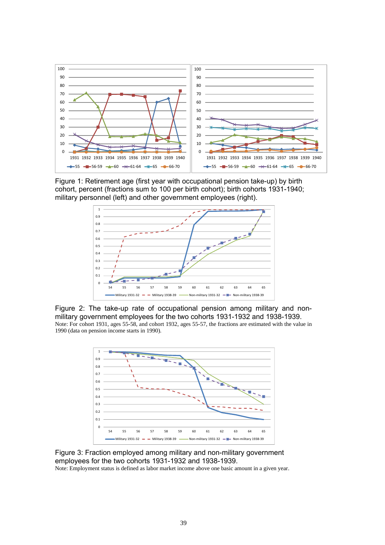

Figure 1: Retirement age (first year with occupational pension take-up) by birth cohort, percent (fractions sum to 100 per birth cohort); birth cohorts 1931-1940; military personnel (left) and other government employees (right).



Figure 2: The take-up rate of occupational pension among military and nonmilitary government employees for the two cohorts 1931-1932 and 1938-1939. Note: For cohort 1931, ages 55-58, and cohort 1932, ages 55-57, the fractions are estimated with the value in 1990 (data on pension income starts in 1990).



Figure 3: Fraction employed among military and non-military government employees for the two cohorts 1931-1932 and 1938-1939.

Note: Employment status is defined as labor market income above one basic amount in a given year.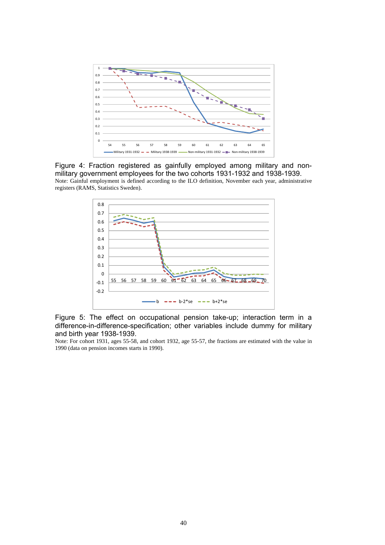

Figure 4: Fraction registered as gainfully employed among military and nonmilitary government employees for the two cohorts 1931-1932 and 1938-1939. Note: Gainful employment is defined according to the ILO definition, November each year, administrative registers (RAMS, Statistics Sweden).



Figure 5: The effect on occupational pension take-up; interaction term in a difference-in-difference-specification; other variables include dummy for military and birth year 1938-1939.

Note: For cohort 1931, ages 55-58, and cohort 1932, age 55-57, the fractions are estimated with the value in 1990 (data on pension incomes starts in 1990).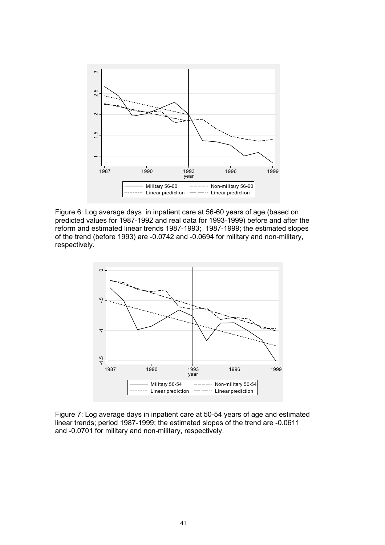

Figure 6: Log average days in inpatient care at 56-60 years of age (based on predicted values for 1987-1992 and real data for 1993-1999) before and after the reform and estimated linear trends 1987-1993; 1987-1999; the estimated slopes of the trend (before 1993) are -0.0742 and -0.0694 for military and non-military, respectively.



Figure 7: Log average days in inpatient care at 50-54 years of age and estimated linear trends; period 1987-1999; the estimated slopes of the trend are -0.0611 and -0.0701 for military and non-military, respectively.